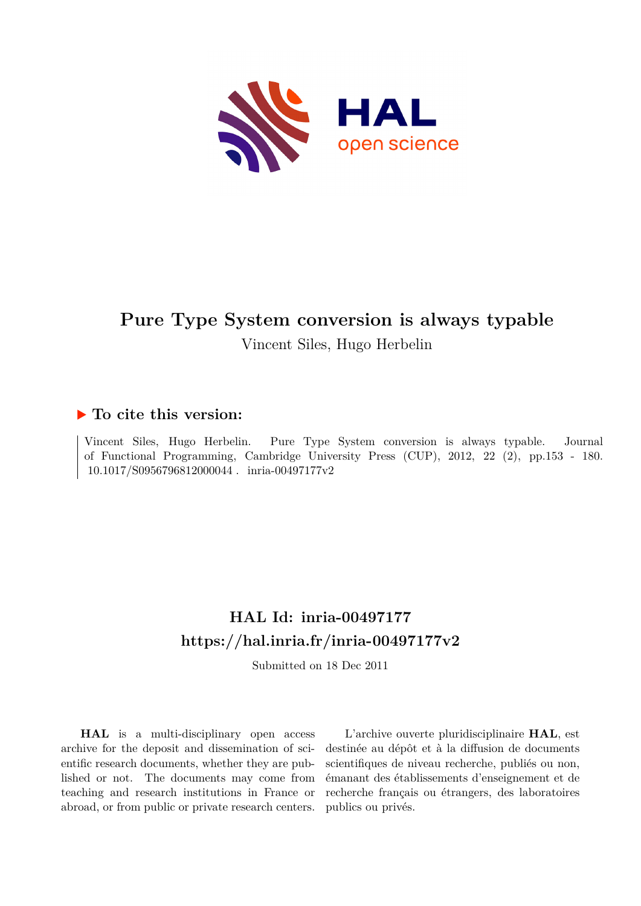

Vincent Siles, Hugo Herbelin

## **To cite this version:**

Vincent Siles, Hugo Herbelin. Pure Type System conversion is always typable. Journal of Functional Programming, Cambridge University Press (CUP), 2012, 22 (2), pp.153 - 180.  $10.1017/S0956796812000044$ . inria-00497177v2

# **HAL Id: inria-00497177 <https://hal.inria.fr/inria-00497177v2>**

Submitted on 18 Dec 2011

**HAL** is a multi-disciplinary open access archive for the deposit and dissemination of scientific research documents, whether they are published or not. The documents may come from teaching and research institutions in France or abroad, or from public or private research centers.

L'archive ouverte pluridisciplinaire **HAL**, est destinée au dépôt et à la diffusion de documents scientifiques de niveau recherche, publiés ou non, émanant des établissements d'enseignement et de recherche français ou étrangers, des laboratoires publics ou privés.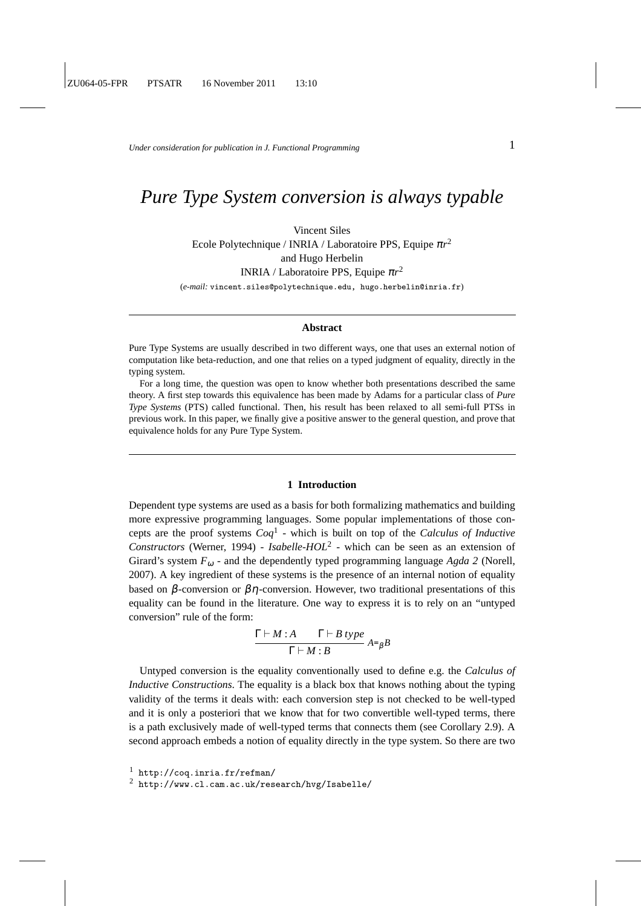*Under consideration for publication in J. Functional Programming*  $1$ 

## *Pure Type System conversion is always typable*

Vincent Siles Ecole Polytechnique / INRIA / Laboratoire PPS, Equipe <sup>π</sup>*r* 2 and Hugo Herbelin INRIA / Laboratoire PPS, Equipe <sup>π</sup>*r* 2 (*e-mail:* vincent.siles@polytechnique.edu, hugo.herbelin@inria.fr)

## **Abstract**

Pure Type Systems are usually described in two different ways, one that uses an external notion of computation like beta-reduction, and one that relies on a typed judgment of equality, directly in the typing system.

For a long time, the question was open to know whether both presentations described the same theory. A first step towards this equivalence has been made by Adams for a particular class of *Pure Type Systems* (PTS) called functional. Then, his result has been relaxed to all semi-full PTSs in previous work. In this paper, we finally give a positive answer to the general question, and prove that equivalence holds for any Pure Type System.

## **1 Introduction**

Dependent type systems are used as a basis for both formalizing mathematics and building more expressive programming languages. Some popular implementations of those concepts are the proof systems *Coq*<sup>1</sup> - which is built on top of the *Calculus of Inductive Constructors* (Werner, 1994) - *Isabelle-HOL*<sup>2</sup> - which can be seen as an extension of Girard's system  $F_{\omega}$  - and the dependently typed programming language *Agda* 2 (Norell, 2007). A key ingredient of these systems is the presence of an internal notion of equality based on  $\beta$ -conversion or  $\beta\eta$ -conversion. However, two traditional presentations of this equality can be found in the literature. One way to express it is to rely on an "untyped conversion" rule of the form:

$$
\frac{\Gamma \vdash M : A \qquad \Gamma \vdash B \ type}{\Gamma \vdash M : B} A =_{\beta} B
$$

Untyped conversion is the equality conventionally used to define e.g. the *Calculus of Inductive Constructions*. The equality is a black box that knows nothing about the typing validity of the terms it deals with: each conversion step is not checked to be well-typed and it is only a posteriori that we know that for two convertible well-typed terms, there is a path exclusively made of well-typed terms that connects them (see Corollary 2.9). A second approach embeds a notion of equality directly in the type system. So there are two

<sup>1</sup> http://coq.inria.fr/refman/

<sup>2</sup> http://www.cl.cam.ac.uk/research/hvg/Isabelle/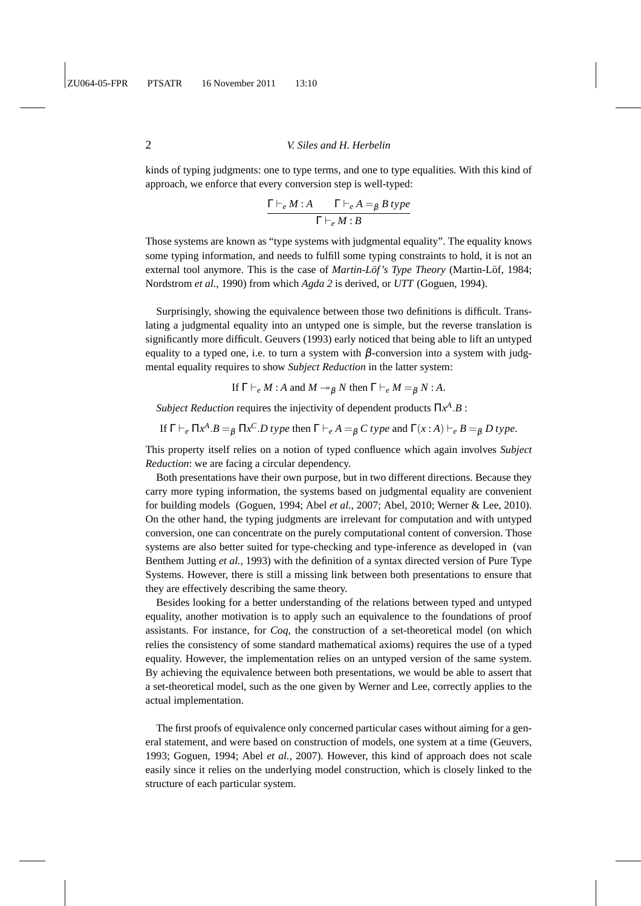kinds of typing judgments: one to type terms, and one to type equalities. With this kind of approach, we enforce that every conversion step is well-typed:

$$
\frac{\Gamma \vdash_e M : A \qquad \Gamma \vdash_e A =_\beta B \text{ type}}{\Gamma \vdash_e M : B}
$$

Those systems are known as "type systems with judgmental equality". The equality knows some typing information, and needs to fulfill some typing constraints to hold, it is not an external tool anymore. This is the case of *Martin-Lof's Type Theory* (Martin-Lof, 1984; Nordstrom *et al.*, 1990) from which *Agda 2* is derived, or *UTT* (Goguen, 1994).

Surprisingly, showing the equivalence between those two definitions is difficult. Translating a judgmental equality into an untyped one is simple, but the reverse translation is significantly more difficult. Geuvers (1993) early noticed that being able to lift an untyped equality to a typed one, i.e. to turn a system with  $\beta$ -conversion into a system with judgmental equality requires to show *Subject Reduction* in the latter system:

If  $\Gamma \vdash_e M$  : *A* and  $M \rightarrow_B N$  then  $\Gamma \vdash_e M = g N$  : *A*.

*Subject Reduction* requires the injectivity of dependent products Π*x A* .*B* :

If 
$$
\Gamma \vdash_e \Pi x^A \cdot B =_\beta \Pi x^C \cdot D
$$
 type then  $\Gamma \vdash_e A =_\beta C$  type and  $\Gamma(x:A) \vdash_e B =_\beta D$  type.

This property itself relies on a notion of typed confluence which again involves *Subject Reduction*: we are facing a circular dependency.

Both presentations have their own purpose, but in two different directions. Because they carry more typing information, the systems based on judgmental equality are convenient for building models (Goguen, 1994; Abel *et al.*, 2007; Abel, 2010; Werner & Lee, 2010). On the other hand, the typing judgments are irrelevant for computation and with untyped conversion, one can concentrate on the purely computational content of conversion. Those systems are also better suited for type-checking and type-inference as developed in (van Benthem Jutting *et al.*, 1993) with the definition of a syntax directed version of Pure Type Systems. However, there is still a missing link between both presentations to ensure that they are effectively describing the same theory.

Besides looking for a better understanding of the relations between typed and untyped equality, another motivation is to apply such an equivalence to the foundations of proof assistants. For instance, for *Coq*, the construction of a set-theoretical model (on which relies the consistency of some standard mathematical axioms) requires the use of a typed equality. However, the implementation relies on an untyped version of the same system. By achieving the equivalence between both presentations, we would be able to assert that a set-theoretical model, such as the one given by Werner and Lee, correctly applies to the actual implementation.

The first proofs of equivalence only concerned particular cases without aiming for a general statement, and were based on construction of models, one system at a time (Geuvers, 1993; Goguen, 1994; Abel *et al.*, 2007). However, this kind of approach does not scale easily since it relies on the underlying model construction, which is closely linked to the structure of each particular system.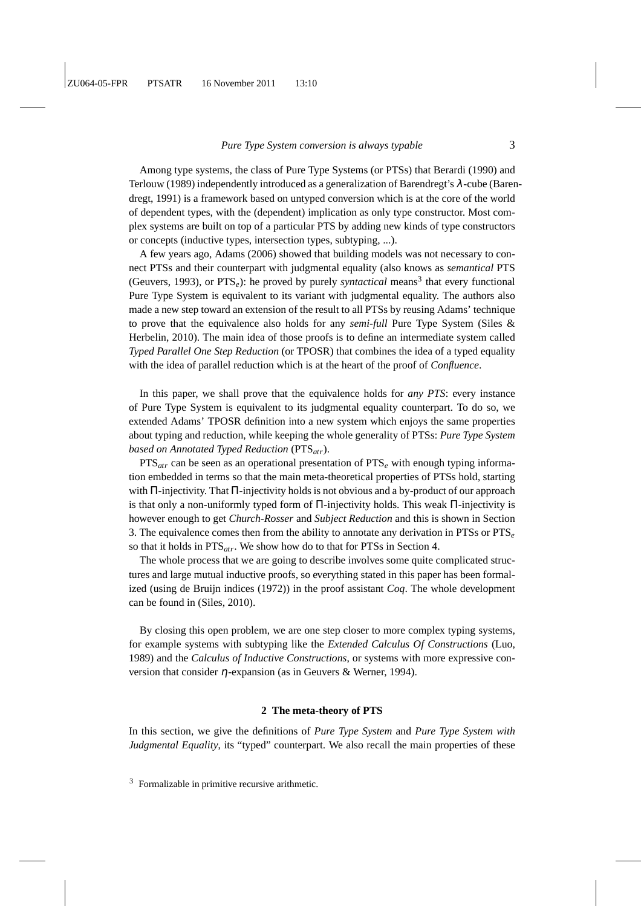Among type systems, the class of Pure Type Systems (or PTSs) that Berardi (1990) and Terlouw (1989) independently introduced as a generalization of Barendregt's λ-cube (Barendregt, 1991) is a framework based on untyped conversion which is at the core of the world of dependent types, with the (dependent) implication as only type constructor. Most complex systems are built on top of a particular PTS by adding new kinds of type constructors or concepts (inductive types, intersection types, subtyping, ...).

A few years ago, Adams (2006) showed that building models was not necessary to connect PTSs and their counterpart with judgmental equality (also knows as *semantical* PTS (Geuvers, 1993), or  $PTS_e$ ): he proved by purely *syntactical* means<sup>3</sup> that every functional Pure Type System is equivalent to its variant with judgmental equality. The authors also made a new step toward an extension of the result to all PTSs by reusing Adams' technique to prove that the equivalence also holds for any *semi-full* Pure Type System (Siles & Herbelin, 2010). The main idea of those proofs is to define an intermediate system called *Typed Parallel One Step Reduction* (or TPOSR) that combines the idea of a typed equality with the idea of parallel reduction which is at the heart of the proof of *Confluence*.

In this paper, we shall prove that the equivalence holds for *any PTS*: every instance of Pure Type System is equivalent to its judgmental equality counterpart. To do so, we extended Adams' TPOSR definition into a new system which enjoys the same properties about typing and reduction, while keeping the whole generality of PTSs: *Pure Type System based on Annotated Typed Reduction* (PTS*atr*).

PTS*atr* can be seen as an operational presentation of PTS*<sup>e</sup>* with enough typing information embedded in terms so that the main meta-theoretical properties of PTSs hold, starting with  $\Pi$ -injectivity. That  $\Pi$ -injectivity holds is not obvious and a by-product of our approach is that only a non-uniformly typed form of Π-injectivity holds. This weak Π-injectivity is however enough to get *Church-Rosser* and *Subject Reduction* and this is shown in Section 3. The equivalence comes then from the ability to annotate any derivation in PTSs or PTS*<sup>e</sup>* so that it holds in PTS*atr*. We show how do to that for PTSs in Section 4.

The whole process that we are going to describe involves some quite complicated structures and large mutual inductive proofs, so everything stated in this paper has been formalized (using de Bruijn indices (1972)) in the proof assistant *Coq*. The whole development can be found in (Siles, 2010).

By closing this open problem, we are one step closer to more complex typing systems, for example systems with subtyping like the *Extended Calculus Of Constructions* (Luo, 1989) and the *Calculus of Inductive Constructions*, or systems with more expressive conversion that consider  $\eta$ -expansion (as in Geuvers & Werner, 1994).

#### **2 The meta-theory of PTS**

In this section, we give the definitions of *Pure Type System* and *Pure Type System with Judgmental Equality*, its "typed" counterpart. We also recall the main properties of these

<sup>3</sup> Formalizable in primitive recursive arithmetic.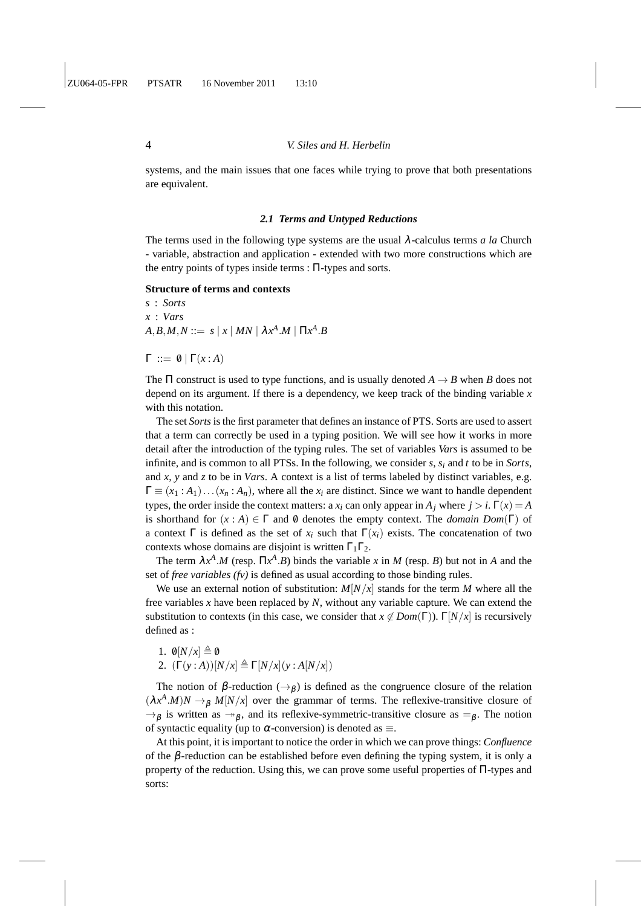systems, and the main issues that one faces while trying to prove that both presentations are equivalent.

## *2.1 Terms and Untyped Reductions*

The terms used in the following type systems are the usual  $\lambda$ -calculus terms *a la* Church - variable, abstraction and application - extended with two more constructions which are the entry points of types inside terms : Π-types and sorts.

### **Structure of terms and contexts**

*s* : *Sorts x* : *Vars*  $A,B,M,N ::= s \mid x \mid MN \mid \lambda x^A.M \mid \Pi x^A.B$ 

 $Γ ::= ∅ | Γ(x : A)$ 

The  $\Pi$  construct is used to type functions, and is usually denoted  $A \rightarrow B$  when *B* does not depend on its argument. If there is a dependency, we keep track of the binding variable *x* with this notation.

The set *Sorts* is the first parameter that defines an instance of PTS. Sorts are used to assert that a term can correctly be used in a typing position. We will see how it works in more detail after the introduction of the typing rules. The set of variables *Vars* is assumed to be infinite, and is common to all PTSs. In the following, we consider *s*, *s<sup>i</sup>* and *t* to be in *Sorts*, and *x*, *y* and *z* to be in *Vars*. A context is a list of terms labeled by distinct variables, e.g.  $\Gamma \equiv (x_1 : A_1) \dots (x_n : A_n)$ , where all the  $x_i$  are distinct. Since we want to handle dependent types, the order inside the context matters: a  $x_i$  can only appear in  $A_i$  where  $j > i$ .  $\Gamma(x) = A$ is shorthand for  $(x : A) \in \Gamma$  and  $\emptyset$  denotes the empty context. The *domain Dom*(Γ) of a context  $\Gamma$  is defined as the set of  $x_i$  such that  $\Gamma(x_i)$  exists. The concatenation of two contexts whose domains are disjoint is written  $\Gamma_1\Gamma_2$ .

The term  $\lambda x^A \cdot M$  (resp.  $\Pi x^A \cdot B$ ) binds the variable *x* in *M* (resp. *B*) but not in *A* and the set of *free variables (fv)* is defined as usual according to those binding rules.

We use an external notion of substitution:  $M[N/x]$  stands for the term *M* where all the free variables *x* have been replaced by *N*, without any variable capture. We can extend the substitution to contexts (in this case, we consider that  $x \notin Dom(\Gamma)$ ).  $\Gamma[N/x]$  is recursively defined as :

- 1.  $\mathcal{O}[N/x] \triangleq \mathcal{O}$
- 2.  $(\Gamma(y : A))[N/x] \triangleq \Gamma[N/x](y : A[N/x])$

The notion of  $\beta$ -reduction  $(\rightarrow_{\beta})$  is defined as the congruence closure of the relation  $(\lambda x^A \cdot M)N \to_\beta M[N/x]$  over the grammar of terms. The reflexive-transitive closure of  $\rightarrow_{\beta}$  is written as  $\rightarrow_{\beta}$ , and its reflexive-symmetric-transitive closure as  $=_{\beta}$ . The notion of syntactic equality (up to  $\alpha$ -conversion) is denoted as  $\equiv$ .

At this point, it is important to notice the order in which we can prove things: *Confluence* of the  $\beta$ -reduction can be established before even defining the typing system, it is only a property of the reduction. Using this, we can prove some useful properties of Π-types and sorts: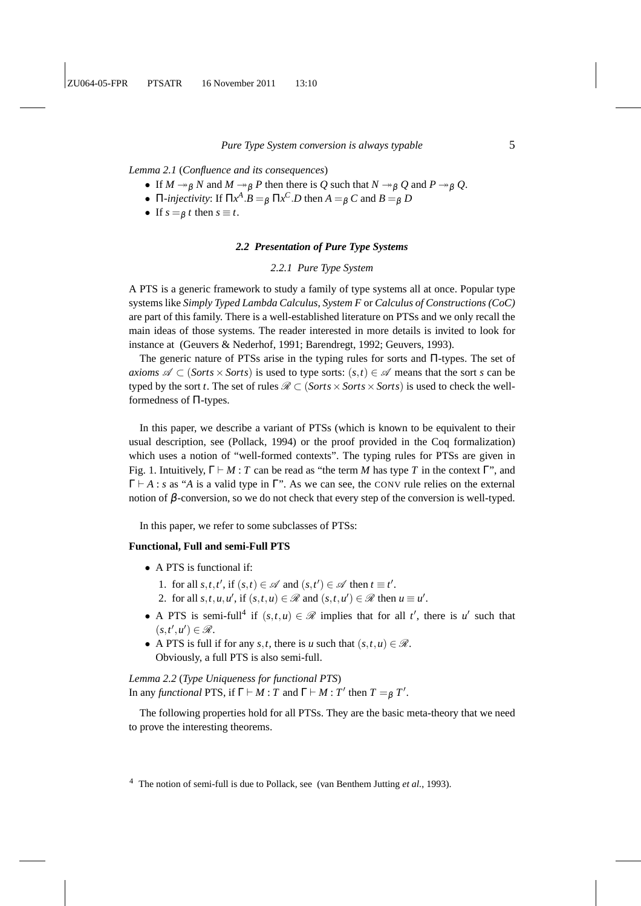*Lemma 2.1* (*Confluence and its consequences*)

- If  $M \rightarrow_{\beta} N$  and  $M \rightarrow_{\beta} P$  then there is Q such that  $N \rightarrow_{\beta} Q$  and  $P \rightarrow_{\beta} Q$ .
- Π-*injectivity*: If  $\Pi x^A \cdot B =_\beta \Pi x^C \cdot D$  then  $A =_\beta C$  and  $B =_\beta D$
- If  $s = \beta t$  then  $s \equiv t$ .

## *2.2 Presentation of Pure Type Systems*

## *2.2.1 Pure Type System*

A PTS is a generic framework to study a family of type systems all at once. Popular type systems like *Simply Typed Lambda Calculus*, *System F* or *Calculus of Constructions (CoC)* are part of this family. There is a well-established literature on PTSs and we only recall the main ideas of those systems. The reader interested in more details is invited to look for instance at (Geuvers & Nederhof, 1991; Barendregt, 1992; Geuvers, 1993).

The generic nature of PTSs arise in the typing rules for sorts and Π-types. The set of *axioms*  $\mathscr{A} \subset (\mathit{Sorts} \times \mathit{Sorts})$  is used to type sorts:  $(s,t) \in \mathscr{A}$  means that the sort *s* can be typed by the sort *t*. The set of rules  $\mathcal{R} \subset (Sorts \times Sorts \times Sorts)$  is used to check the wellformedness of Π-types.

In this paper, we describe a variant of PTSs (which is known to be equivalent to their usual description, see (Pollack, 1994) or the proof provided in the Coq formalization) which uses a notion of "well-formed contexts". The typing rules for PTSs are given in Fig. 1. Intuitively,  $\Gamma \vdash M : T$  can be read as "the term M has type T in the context  $\Gamma$ ", and Γ ⊢ *A* : *s* as "*A* is a valid type in Γ". As we can see, the CONV rule relies on the external notion of  $β$ -conversion, so we do not check that every step of the conversion is well-typed.

In this paper, we refer to some subclasses of PTSs:

## **Functional, Full and semi-Full PTS**

- A PTS is functional if:
	- 1. for all  $s, t, t'$ , if  $(s, t) \in \mathcal{A}$  and  $(s, t') \in \mathcal{A}$  then  $t \equiv t'$ .
	- 2. for all  $s, t, u, u'$ , if  $(s, t, u) \in \mathcal{R}$  and  $(s, t, u') \in \mathcal{R}$  then  $u \equiv u'$ .
- A PTS is semi-full<sup>4</sup> if  $(s,t,u) \in \mathcal{R}$  implies that for all *t'*, there is *u'* such that  $(s,t',u') \in \mathscr{R}$ .
- A PTS is full if for any *s*,*t*, there is *u* such that  $(s, t, u) \in \mathcal{R}$ . Obviously, a full PTS is also semi-full.

*Lemma 2.2* (*Type Uniqueness for functional PTS*) In any *functional* PTS, if  $\Gamma \vdash M : T$  and  $\Gamma \vdash M : T'$  then  $T =_{\beta} T'$ .

The following properties hold for all PTSs. They are the basic meta-theory that we need to prove the interesting theorems.

<sup>4</sup> The notion of semi-full is due to Pollack, see (van Benthem Jutting *et al.*, 1993).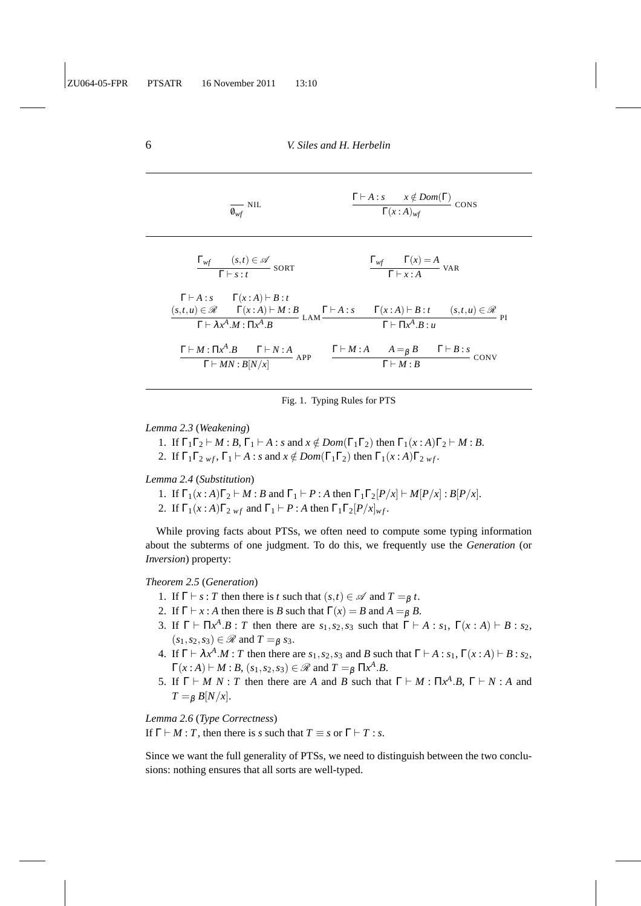| $\frac{1}{\varrho_{wf}}$ NIL                                                                                                                                                                                                                                                                    | $\frac{\Gamma\vdash A:s \quad x\notin Dom(\Gamma)}{\Gamma(x:A)_{wf}}$ CONS |
|-------------------------------------------------------------------------------------------------------------------------------------------------------------------------------------------------------------------------------------------------------------------------------------------------|----------------------------------------------------------------------------|
| $\frac{\Gamma_{wf} \qquad (s,t) \in \mathscr{A}}{\Gamma \vdash s : t}$ SORT                                                                                                                                                                                                                     | $\frac{\Gamma_{wf} - \Gamma(x) = A}{\Gamma \vdash r \cdot A}$ VAR          |
| $\Gamma\vdash A:s\qquad \Gamma(x:A)\vdash B:t$<br>$\frac{(s,t,u)\in \mathscr{R}\qquad \Gamma(x:A)\vdash M:B}{\Gamma\vdash \lambda x^A.M:\Pi x^A.B}\,\,\text{LAM}\frac{\Gamma\vdash A:s\qquad \Gamma(x:A)\vdash B:t\qquad \quad (s,t,u)\in \mathscr{R}}{\Gamma\vdash \Pi x^A.B: u}\,\,\text{PI}$ |                                                                            |
| $\frac{\Gamma \vdash M \colon \Pi x^A . B \qquad \Gamma \vdash N : A }{\Gamma \vdash MN : B[N/x]} \text{ APP} \qquad \frac{\Gamma \vdash M : A \qquad A =_\beta B \qquad \Gamma \vdash B : s}{\Gamma \vdash M : B}$                                                                             | CONV                                                                       |

Fig. 1. Typing Rules for PTS

*Lemma 2.3* (*Weakening*)

1. If  $\Gamma_1\Gamma_2 \vdash M : B, \Gamma_1 \vdash A : s \text{ and } x \notin Dom(\Gamma_1\Gamma_2) \text{ then } \Gamma_1(x:A)\Gamma_2 \vdash M : B.$ 

2. If  $\Gamma_1\Gamma_2$  *wf*,  $\Gamma_1 \vdash A$  : *s* and  $x \notin Dom(\Gamma_1\Gamma_2)$  then  $\Gamma_1(x:A)\Gamma_2$  *wf*.

*Lemma 2.4* (*Substitution*)

1. If  $\Gamma_1(x : A)\Gamma_2 \vdash M : B$  and  $\Gamma_1 \vdash P : A$  then  $\Gamma_1 \Gamma_2[P/x] \vdash M[P/x] : B[P/x].$ 

2. If  $\Gamma_1(x:A)\Gamma_{2\le \theta} f$  and  $\Gamma_1 \vdash P$  : *A* then  $\Gamma_1 \Gamma_2 [P/x]_{\theta} f$ .

While proving facts about PTSs, we often need to compute some typing information about the subterms of one judgment. To do this, we frequently use the *Generation* (or *Inversion*) property:

## *Theorem 2.5* (*Generation*)

- 1. If  $\Gamma \vdash s : T$  then there is *t* such that  $(s,t) \in \mathcal{A}$  and  $T =_{\beta} t$ .
- 2. If  $\Gamma \vdash x : A$  then there is *B* such that  $\Gamma(x) = B$  and  $A =_B B$ .
- 3. If  $\Gamma \vdash \Pi x^A \cdot B : T$  then there are  $s_1, s_2, s_3$  such that  $\Gamma \vdash A : s_1, \Gamma(x : A) \vdash B : s_2$ ,  $(s_1, s_2, s_3) \in \mathcal{R}$  and  $T =_{\beta} s_3$ .
- 4. If  $\Gamma \vdash \lambda x^A.M : T$  then there are  $s_1, s_2, s_3$  and *B* such that  $\Gamma \vdash A : s_1, \Gamma(x:A) \vdash B : s_2$ ,  $\Gamma(x:A) \vdash M:B, (s_1,s_2,s_3) \in \mathcal{R}$  and  $T =_\beta \Pi x^A.B.$
- 5. If  $\Gamma \vdash M \ N : T$  then there are *A* and *B* such that  $\Gamma \vdash M : \Pi x^A . B, \ \Gamma \vdash N : A$  and  $T = \beta B[N/x].$

*Lemma 2.6* (*Type Correctness*)

If  $\Gamma \vdash M : T$ , then there is *s* such that  $T \equiv s$  or  $\Gamma \vdash T : s$ .

Since we want the full generality of PTSs, we need to distinguish between the two conclusions: nothing ensures that all sorts are well-typed.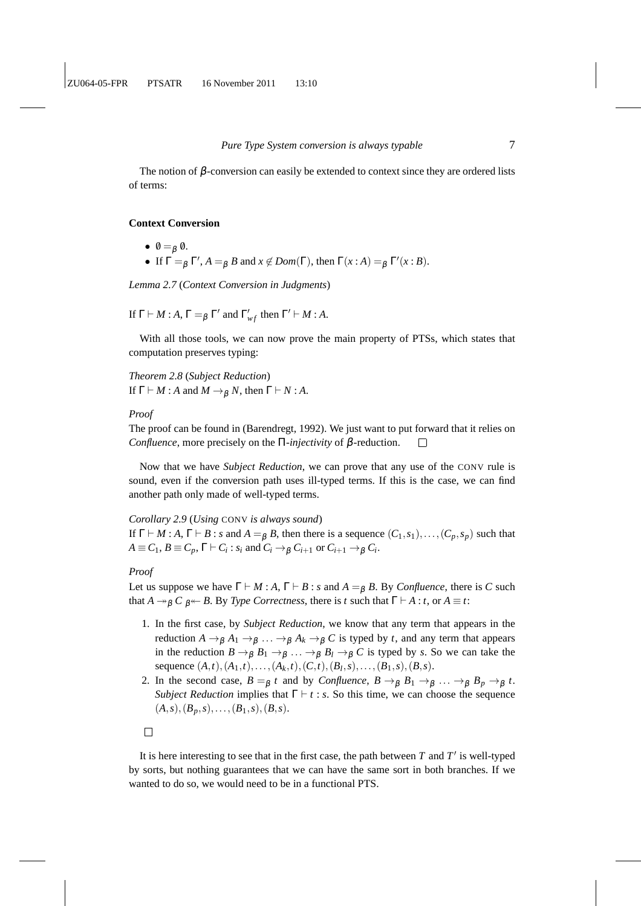The notion of  $\beta$ -conversion can easily be extended to context since they are ordered lists of terms:

#### **Context Conversion**

- $\bullet \ \ \emptyset =_{\beta} \ \emptyset.$
- If  $\Gamma =_{\beta} \Gamma', A =_{\beta} B$  and  $x \notin Dom(\Gamma)$ , then  $\Gamma(x : A) =_{\beta} \Gamma'(x : B)$ .

*Lemma 2.7* (*Context Conversion in Judgments*)

If  $\Gamma \vdash M : A$ ,  $\Gamma =_{\beta} \Gamma'$  and  $\Gamma'_{wf}$  then  $\Gamma' \vdash M : A$ .

With all those tools, we can now prove the main property of PTSs, which states that computation preserves typing:

*Theorem 2.8* (*Subject Reduction*) If  $\Gamma \vdash M : A$  and  $M \rightarrow_B N$ , then  $\Gamma \vdash N : A$ .

#### *Proof*

The proof can be found in (Barendregt, 1992). We just want to put forward that it relies on *Confluence*, more precisely on the Π*-injectivity* of β-reduction.  $\Box$ 

Now that we have *Subject Reduction*, we can prove that any use of the CONV rule is sound, even if the conversion path uses ill-typed terms. If this is the case, we can find another path only made of well-typed terms.

## *Corollary 2.9* (*Using* CONV *is always sound*)

If  $\Gamma \vdash M : A, \Gamma \vdash B : s$  and  $A =_\beta B$ , then there is a sequence  $(C_1, s_1), \ldots, (C_p, s_p)$  such that  $A \equiv C_1, B \equiv C_p, \Gamma \vdash C_i : s_i \text{ and } C_i \rightarrow_\beta C_{i+1} \text{ or } C_{i+1} \rightarrow_\beta C_i.$ 

*Proof*

Let us suppose we have  $\Gamma \vdash M : A, \Gamma \vdash B : s$  and  $A =_{\beta} B$ . By *Confluence*, there is *C* such that *A*  $\rightarrow$ <sub>*B*</sub>  $C$  *<sub>B</sub>*  $\leftarrow$  *B*. By *Type Correctness*, there is *t* such that  $\Gamma$   $\vdash$  *A* : *t*, or *A*  $\equiv$  *t*:

- 1. In the first case, by *Subject Reduction*, we know that any term that appears in the reduction  $A \to_{\beta} A_1 \to_{\beta} \ldots \to_{\beta} A_k \to_{\beta} C$  is typed by *t*, and any term that appears in the reduction  $B \to_{\beta} B_1 \to_{\beta} \ldots \to_{\beta} B_l \to_{\beta} C$  is typed by *s*. So we can take the sequence  $(A,t)$ ,  $(A_1,t)$ ,...,  $(A_k,t)$ ,  $(C,t)$ ,  $(B_l,s)$ ,...,  $(B_1,s)$ ,  $(B,s)$ .
- 2. In the second case,  $B =_\beta t$  and by *Confluence*,  $B \to_\beta B_1 \to_\beta \ldots \to_\beta B_p \to_\beta t$ . *Subject Reduction* implies that  $\Gamma \vdash t : s$ . So this time, we can choose the sequence  $(A, s), (B_p, s), \ldots, (B_1, s), (B, s).$



It is here interesting to see that in the first case, the path between  $T$  and  $T'$  is well-typed by sorts, but nothing guarantees that we can have the same sort in both branches. If we wanted to do so, we would need to be in a functional PTS.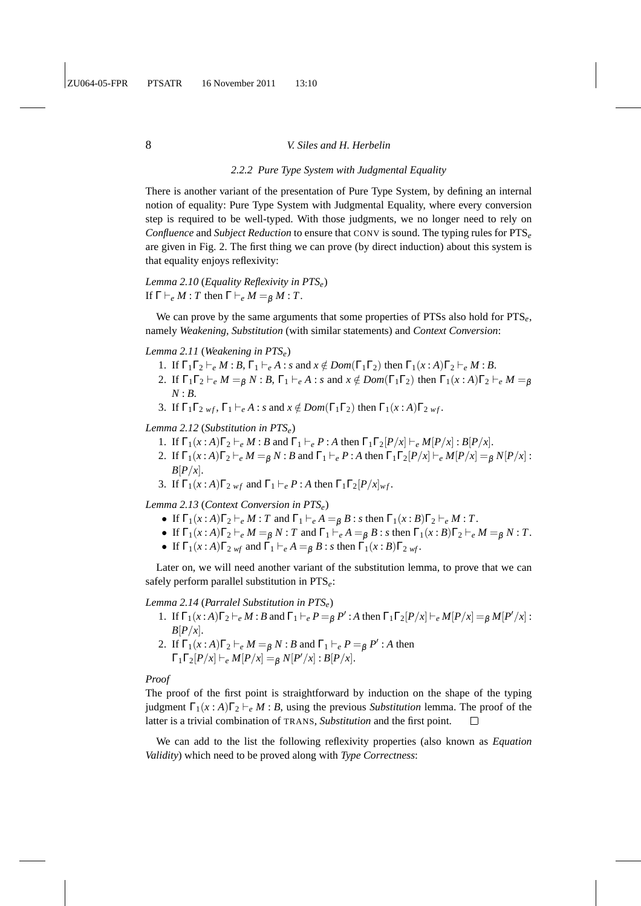## *2.2.2 Pure Type System with Judgmental Equality*

There is another variant of the presentation of Pure Type System, by defining an internal notion of equality: Pure Type System with Judgmental Equality, where every conversion step is required to be well-typed. With those judgments, we no longer need to rely on *Confluence* and *Subject Reduction* to ensure that CONV is sound. The typing rules for PTS*<sup>e</sup>* are given in Fig. 2. The first thing we can prove (by direct induction) about this system is that equality enjoys reflexivity:

*Lemma 2.10* (*Equality Reflexivity in PTSe*) If  $\Gamma \vdash_e M : T$  then  $\Gamma \vdash_e M = g M : T$ .

We can prove by the same arguments that some properties of PTSs also hold for PTS*e*, namely *Weakening, Substitution* (with similar statements) and *Context Conversion*:

## *Lemma 2.11* (*Weakening in PTSe*)

- 1. If  $\Gamma_1\Gamma_2 \vdash_e M : B, \Gamma_1 \vdash_e A : s \text{ and } x \notin Dom(\Gamma_1\Gamma_2) \text{ then } \Gamma_1(x:A)\Gamma_2 \vdash_e M : B.$
- 2. If  $\Gamma_1\Gamma_2 \vdash_e M = g N : B$ ,  $\Gamma_1 \vdash_e A : s$  and  $x \notin Dom(\Gamma_1\Gamma_2)$  then  $\Gamma_1(x:A)\Gamma_2 \vdash_e M = g$ *N* : *B*.
- 3. If  $\Gamma_1\Gamma_2$  *wf*,  $\Gamma_1 \vdash_e A$ : *s* and  $x \notin Dom(\Gamma_1\Gamma_2)$  then  $\Gamma_1(x:A)\Gamma_2$  *wf*.

#### *Lemma 2.12* (*Substitution in PTSe*)

- 1. If  $\Gamma_1(x:A)\Gamma_2 \vdash_e M : B$  and  $\Gamma_1 \vdash_e P : A$  then  $\Gamma_1\Gamma_2[P/x] \vdash_e M[P/x] : B[P/x]$ .
- 2. If  $\Gamma_1(x:A)\Gamma_2 \vdash_e M = gN:B$  and  $\Gamma_1 \vdash_e P:A$  then  $\Gamma_1\Gamma_2[P/x] \vdash_e M[P/x] = gN[P/x]$ :  $B[P/x]$ .
- 3. If  $\Gamma_1(x:A)\Gamma_{2,wf}$  and  $\Gamma_1 \vdash_e P:A$  then  $\Gamma_1\Gamma_2[P/x]_{wf}$ .

*Lemma 2.13* (*Context Conversion in PTSe*)

- If  $\Gamma_1(x:A)\Gamma_2 \vdash_e M : T$  and  $\Gamma_1 \vdash_e A = g B : s$  then  $\Gamma_1(x:B)\Gamma_2 \vdash_e M : T$ .
- If  $\Gamma_1(x:A)\Gamma_2 \vdash_e M = g N$ : *T* and  $\Gamma_1 \vdash_e A = g B$ : *s* then  $\Gamma_1(x:B)\Gamma_2 \vdash_e M = g N$ : *T*.
- If  $\Gamma_1(x : A)\Gamma_{2 \text{ wf}}$  and  $\Gamma_1 \vdash_e A =_B B : s$  then  $\Gamma_1(x : B)\Gamma_{2 \text{ wf}}$ .

Later on, we will need another variant of the substitution lemma, to prove that we can safely perform parallel substitution in PTS*e*:

*Lemma 2.14* (*Parralel Substitution in PTSe*)

- 1. If  $\Gamma_1(x:A)\Gamma_2 \vdash_e M : B$  and  $\Gamma_1 \vdash_e P = \beta P' : A$  then  $\Gamma_1 \Gamma_2[P/x] \vdash_e M[P/x] = \beta M[P'/x] : A \vdash_e M[P/x] = \beta M[P'/x]$  $B[P/x]$ .
- 2. If  $\Gamma_1(x:A)\Gamma_2 \vdash_e M =_\beta N : B$  and  $\Gamma_1 \vdash_e P =_\beta P' : A$  then  $\Gamma_1 \Gamma_2 [P/x] \vdash_e M[P/x] =_\beta N[P'/x] : B[P/x].$

#### *Proof*

The proof of the first point is straightforward by induction on the shape of the typing judgment  $\Gamma_1(x:A)\Gamma_2 \vdash_e M:B$ , using the previous *Substitution* lemma. The proof of the latter is a trivial combination of TRANS, *Substitution* and the first point.  $\Box$ 

We can add to the list the following reflexivity properties (also known as *Equation Validity*) which need to be proved along with *Type Correctness*: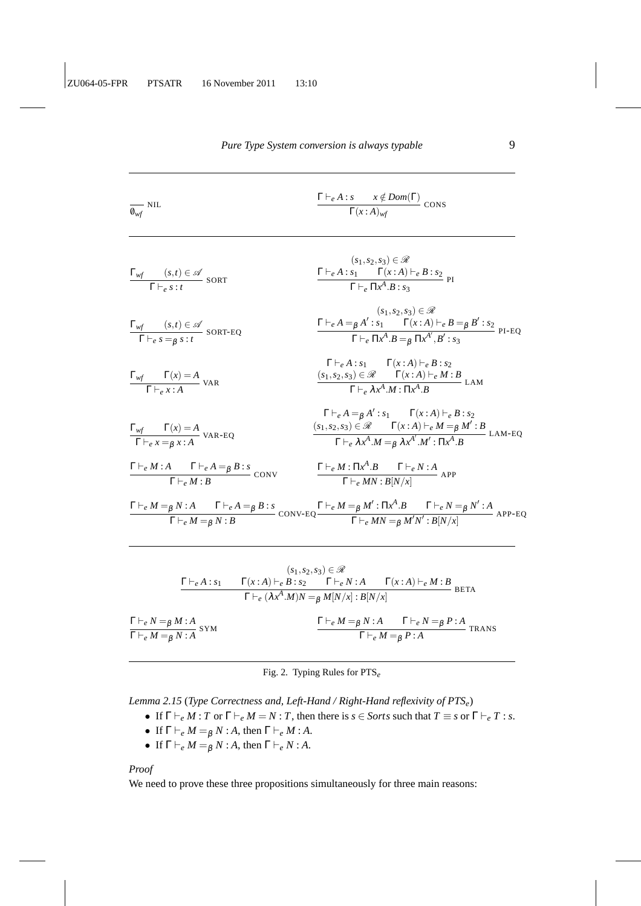| $\overline{\mathbf{0}_{wf}}$ NIL                                                                                   | $\frac{\Gamma\vdash_e A:s \quad x \notin Dom(\Gamma)}{\Gamma(x:A)_{wf}}$ CONS                                                                                                                                                                                                                         |
|--------------------------------------------------------------------------------------------------------------------|-------------------------------------------------------------------------------------------------------------------------------------------------------------------------------------------------------------------------------------------------------------------------------------------------------|
| $\frac{\Gamma_{wf} (s,t) \in \mathscr{A}}{\Gamma \vdash_{e} s : t}$ SORT                                           | $(s_1,s_2,s_3) \in \mathscr{R}$<br>$\frac{\Gamma\vdash_e A:s_1\qquad \Gamma(x:A)\vdash_e B:s_2}{\Gamma\vdash_e \Pi x^A.B:s_3} \text{ PI}$                                                                                                                                                             |
| $\frac{\Gamma_{wf} (s,t) \in \mathscr{A}}{\Gamma \vdash_e s =_{\beta} s : t}$ SORT-EQ                              | $(s_1,s_2,s_3) \in \mathcal{R}$<br>$\frac{\Gamma\vdash_e A =_\beta A': s_1 \qquad \Gamma(x:A) \vdash_e B =_\beta B': s_2}{\Gamma\vdash_e \Pi x^A \cdot B =_\beta \Pi x^A', B': s_3}$ PI-EQ                                                                                                            |
| $\frac{\Gamma_{wf} - \Gamma(x) = A}{\Gamma \vdash_{\alpha} x : A}$ VAR                                             | $\Gamma \vdash_e A : s_1 \qquad \Gamma(x:A) \vdash_e B : s_2$<br>$\frac{(s_1, s_2, s_3) \in \mathcal{R} \qquad \Gamma(x:A) \vdash_e M:B}{\Gamma \vdash_e \lambda x^A.M : \Pi x^A.B}$ LAM                                                                                                              |
| $\frac{\Gamma_{wf} - \Gamma(x) = A}{\Gamma \vdash_e x = g x : A} \text{ VAR-EQ}$                                   | $\Gamma\vdash_e A =_\beta A' : s_1 \qquad \Gamma(x:A) \vdash_e B : s_2$<br>$\frac{(s_1, s_2, s_3) \in \mathcal{R}}{\Gamma \vdash_e \lambda x^A M =_\beta \lambda x^{A'}}.M' : H \rightarrow B M' : B$ LAM-EQ                                                                                          |
| $\frac{\Gamma\vdash_e M:A\qquad \Gamma\vdash_e A=_{\beta} B:s}{\Gamma\vdash_e M:B}\mathop{\mathrm{conv}}\nolimits$ | $\frac{\Gamma\vdash_e M:\Pi x^A.B\qquad \Gamma\vdash_e N:A}{\Gamma\vdash_e MN:B[N/x]}$ APP                                                                                                                                                                                                            |
|                                                                                                                    | $\frac{\Gamma\vdash_e M =_\beta N:A\quad \Gamma\vdash_e A =_\beta B:s}{\Gamma\vdash_e M =_\beta N:B}\mathop{\mathrm{conv}}\nolimits\text{-}\mathrm{EQ}\frac{\Gamma\vdash_e M =_\beta M':\Pi x^A.B\quad \Gamma\vdash_e N =_\beta N':A}{\Gamma\vdash_e MN =_\beta M'N':B[N/x]}\mathop{\mathrm{APP-EQ}}$ |

|  | Pure Type System conversion is always typable |  |  |  |  |
|--|-----------------------------------------------|--|--|--|--|
|--|-----------------------------------------------|--|--|--|--|

|                                                                         |                                                                                               | $(s_1,s_2,s_3) \in \mathscr{R}$ |                                                                                                  |             |
|-------------------------------------------------------------------------|-----------------------------------------------------------------------------------------------|---------------------------------|--------------------------------------------------------------------------------------------------|-------------|
| $\Gamma \vdash_e A : s_1$                                               | $\Gamma(x:A) \vdash_e B : s_2 \qquad \Gamma \vdash_e N : A \qquad \Gamma(x:A) \vdash_e M : B$ |                                 |                                                                                                  | <b>BETA</b> |
|                                                                         | $\Gamma\vdash_e (\lambda x^A.M)N =_\beta M[N/x]:B[N/x]$                                       |                                 |                                                                                                  |             |
| $\frac{\Gamma\vdash_e N =_\beta M:A}{\Gamma\vdash_e M =_\beta N:A}$ SYM |                                                                                               |                                 | $\Gamma\vdash_e M = \beta N:A$ $\Gamma\vdash_e N = \beta P:A$ TRANS<br>$\Gamma\vdash_e M=_B P:A$ |             |

Fig. 2. Typing Rules for PTS*e*

*Lemma 2.15* (*Type Correctness and, Left-Hand / Right-Hand reflexivity of PTSe*)

- If  $\Gamma \vdash_e M : T$  or  $\Gamma \vdash_e M = N : T$ , then there is  $s \in$  *Sorts* such that  $T \equiv s$  or  $\Gamma \vdash_e T : s$ .
- If  $\Gamma \vdash_e M = \beta N : A$ , then  $\Gamma \vdash_e M : A$ .
- If  $\Gamma \vdash_e M = \beta N : A$ , then  $\Gamma \vdash_e N : A$ .

## *Proof*

We need to prove these three propositions simultaneously for three main reasons: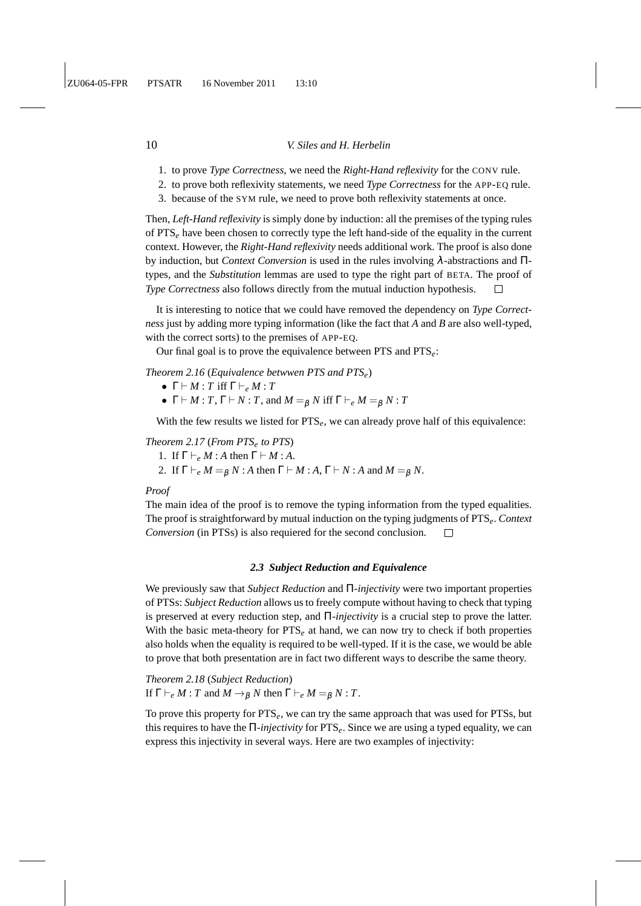- 1. to prove *Type Correctness*, we need the *Right-Hand reflexivity* for the CONV rule.
- 2. to prove both reflexivity statements, we need *Type Correctness* for the APP-EQ rule.
- 3. because of the SYM rule, we need to prove both reflexivity statements at once.

Then, *Left-Hand reflexivity* is simply done by induction: all the premises of the typing rules of PTS*<sup>e</sup>* have been chosen to correctly type the left hand-side of the equality in the current context. However, the *Right-Hand reflexivity* needs additional work. The proof is also done by induction, but *Context Conversion* is used in the rules involving λ-abstractions and Πtypes, and the *Substitution* lemmas are used to type the right part of BETA. The proof of *Type Correctness* also follows directly from the mutual induction hypothesis.

It is interesting to notice that we could have removed the dependency on *Type Correctness* just by adding more typing information (like the fact that *A* and *B* are also well-typed, with the correct sorts) to the premises of APP-EQ.

Our final goal is to prove the equivalence between PTS and PTS*e*:

*Theorem 2.16* (*Equivalence betwwen PTS and PTSe*)

- $\Gamma \vdash M : T$  iff  $\Gamma \vdash_e M : T$
- $\Gamma \vdash M : T, \Gamma \vdash N : T$ , and  $M = g N$  iff  $\Gamma \vdash_e M = g N : T$

With the few results we listed for PTS<sub>e</sub>, we can already prove half of this equivalence:

## *Theorem 2.17* (*From PTS<sup>e</sup> to PTS*)

- 1. If  $\Gamma \vdash_e M : A$  then  $\Gamma \vdash M : A$ .
- 2. If  $\Gamma \vdash_e M = g N$ : *A* then  $\Gamma \vdash M$ : *A*,  $\Gamma \vdash N$ : *A* and  $M = g N$ .

## *Proof*

The main idea of the proof is to remove the typing information from the typed equalities. The proof is straightforward by mutual induction on the typing judgments of PTS*e*. *Context Conversion* (in PTSs) is also requiered for the second conclusion.  $\Box$ 

#### *2.3 Subject Reduction and Equivalence*

We previously saw that *Subject Reduction* and Π*-injectivity* were two important properties of PTSs: *Subject Reduction* allows us to freely compute without having to check that typing is preserved at every reduction step, and Π*-injectivity* is a crucial step to prove the latter. With the basic meta-theory for PTS<sub>e</sub> at hand, we can now try to check if both properties also holds when the equality is required to be well-typed. If it is the case, we would be able to prove that both presentation are in fact two different ways to describe the same theory.

*Theorem 2.18* (*Subject Reduction*) If  $\Gamma \vdash_e M : T$  and  $M \to_B N$  then  $\Gamma \vdash_e M = g N : T$ .

To prove this property for PTS*e*, we can try the same approach that was used for PTSs, but this requires to have the Π*-injectivity* for PTS*e*. Since we are using a typed equality, we can express this injectivity in several ways. Here are two examples of injectivity: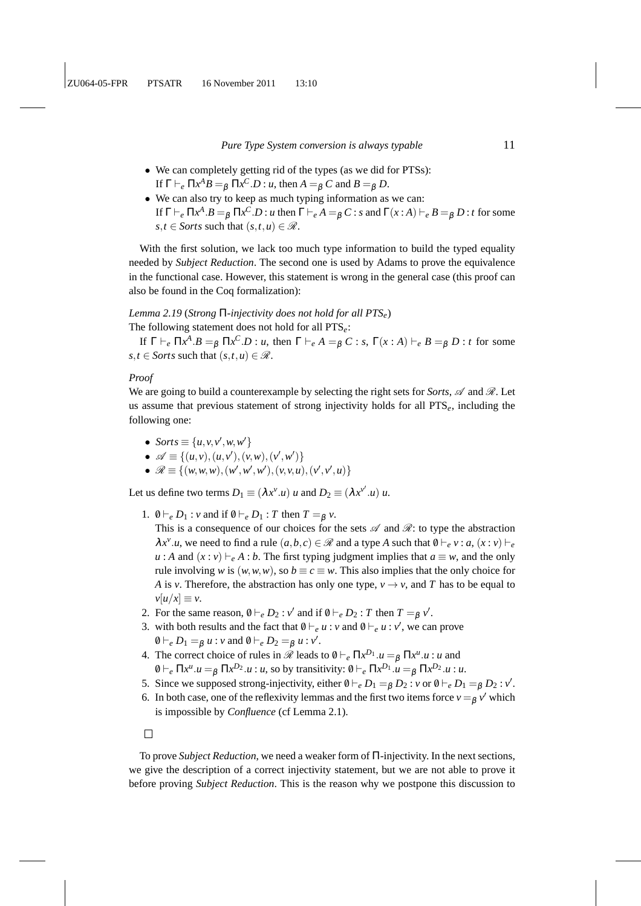- We can completely getting rid of the types (as we did for PTSs): If  $\Gamma \vdash_e \Pi x^A B =_\beta \Pi x^C \cdot D : u$ , then  $A =_\beta C$  and  $B =_\beta D$ .
- We can also try to keep as much typing information as we can: If  $\Gamma \vdash_e \Pi x^A . B =_\beta \Pi x^C . D : u$  then  $\Gamma \vdash_e A =_\beta C : s$  and  $\Gamma(x:A) \vdash_e B =_\beta D : t$  for some  $s, t \in$  *Sorts* such that  $(s, t, u) \in \mathcal{R}$ .

With the first solution, we lack too much type information to build the typed equality needed by *Subject Reduction*. The second one is used by Adams to prove the equivalence in the functional case. However, this statement is wrong in the general case (this proof can also be found in the Coq formalization):

## *Lemma 2.19* (*Strong* Π*-injectivity does not hold for all PTSe*)

The following statement does not hold for all PTS*e*:

If  $\Gamma \vdash_e \Pi x^A . B =_\beta \Pi x^C . D : u$ , then  $\Gamma \vdash_e A =_\beta C : s$ ,  $\Gamma(x:A) \vdash_e B =_\beta D : t$  for some  $s, t \in$  *Sorts* such that  $(s, t, u) \in \mathcal{R}$ .

## *Proof*

We are going to build a counterexample by selecting the right sets for *Sorts*,  $\mathscr A$  and  $\mathscr R$ . Let us assume that previous statement of strong injectivity holds for all PTS*e*, including the following one:

- *Sorts*  $\equiv \{u, v, v', w, w'\}$
- $\mathscr{A} \equiv \{(u, v), (u, v'), (v, w), (v', w')\}$
- $\mathscr{R} \equiv \{(w, w, w), (w', w', w'), (v, v, u), (v', v', u)\}$

Let us define two terms  $D_1 \equiv (\lambda x^{\nu}.u)$  *u* and  $D_2 \equiv (\lambda x^{\nu'}.u)$  *u*.

- 1.  $\emptyset \vdash_e D_1 : v$  and if  $\emptyset \vdash_e D_1 : T$  then  $T =_{\beta} v$ .
	- This is a consequence of our choices for the sets  $\mathscr A$  and  $\mathscr R$ : to type the abstraction  $\lambda x^{\nu} \cdot u$ , we need to find a rule  $(a, b, c) \in \mathcal{R}$  and a type *A* such that  $\theta \vdash_e v : a, (x : v) \vdash_e e$ *u* : *A* and  $(x : v) ⊢_e A : b$ . The first typing judgment implies that *a* ≡ *w*, and the only rule involving *w* is  $(w, w, w)$ , so  $b \equiv c \equiv w$ . This also implies that the only choice for *A* is *v*. Therefore, the abstraction has only one type,  $v \rightarrow v$ , and *T* has to be equal to  $v[u/x] \equiv v$ .
- 2. For the same reason,  $\theta \vdash_e D_2 : v'$  and if  $\theta \vdash_e D_2 : T$  then  $T =_{\beta} v'$ .
- 3. with both results and the fact that  $\theta \vdash_e u : v$  and  $\theta \vdash_e u : v'$ , we can prove  $\emptyset \vdash_e D_1 =_\beta u : v \text{ and } \emptyset \vdash_e D_2 =_\beta u : v'.$
- 4. The correct choice of rules in  $\hat{\mathcal{R}}$  leads to  $\theta \vdash_e \Pi x^{D_1} \cdot u =_\beta \Pi x^u \cdot u \cdot u$  and  $\emptyset \vdash_e \Pi x^u.u =_\beta \Pi x^{D_2}.u : u$ , so by transitivity:  $\emptyset \vdash_e \Pi x^{D_1}.u =_\beta \Pi x^{D_2}.u : u$ .
- 5. Since we supposed strong-injectivity, either  $\theta \vdash_e D_1 =_\beta D_2 : v$  or  $\theta \vdash_e D_1 =_\beta D_2 : v'$ .
- 6. In both case, one of the reflexivity lemmas and the first two items force  $v = \beta v'$  which is impossible by *Confluence* (cf Lemma 2.1).

 $\Box$ 

To prove *Subject Reduction*, we need a weaker form of Π-injectivity. In the next sections, we give the description of a correct injectivity statement, but we are not able to prove it before proving *Subject Reduction*. This is the reason why we postpone this discussion to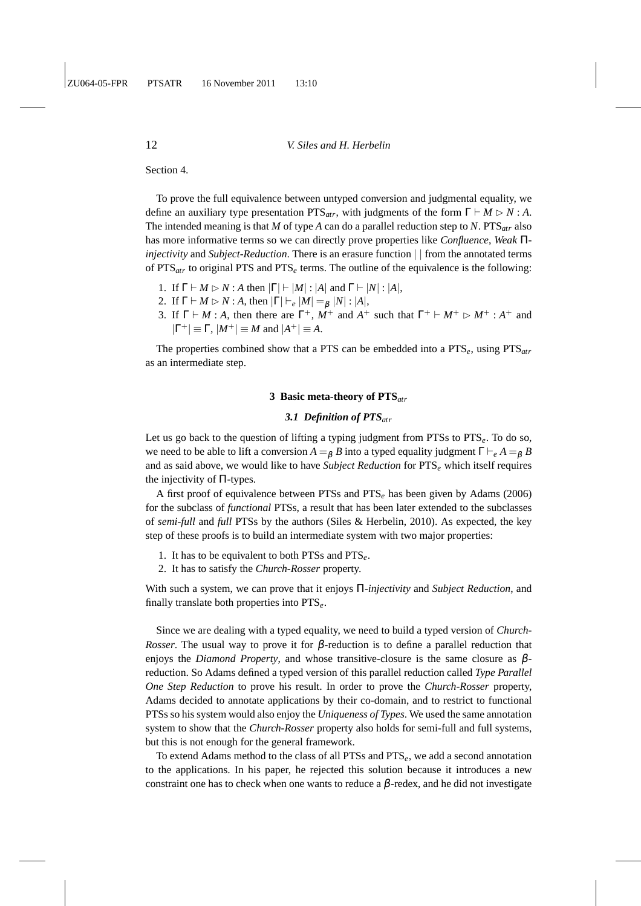Section 4.

To prove the full equivalence between untyped conversion and judgmental equality, we define an auxiliary type presentation  $PTS_{atr}$ , with judgments of the form  $\Gamma \vdash M \rhd N : A$ . The intended meaning is that *M* of type *A* can do a parallel reduction step to *N*. PTS*atr* also has more informative terms so we can directly prove properties like *Confluence*, *Weak* Π*injectivity* and *Subject-Reduction*. There is an erasure function | | from the annotated terms of  $PTS<sub>atr</sub>$  to original PTS and PTS<sub>e</sub> terms. The outline of the equivalence is the following:

- 1. If  $\Gamma \vdash M \rhd N$  : *A* then  $|\Gamma| \vdash |M|$  :  $|A|$  and  $\Gamma \vdash |N|$  :  $|A|$ ,
- 2. If  $\Gamma \vdash M \rhd N : A$ , then  $|\Gamma| \vdash_e |M| =_\beta |N| : |A|$ ,
- 3. If  $\Gamma \vdash M : A$ , then there are  $\Gamma^+$ ,  $\dot{M}^+$  and  $A^+$  such that  $\Gamma^+ \vdash M^+ \rhd M^+ : A^+$  and  $|\Gamma^+| \equiv \Gamma$ ,  $|M^+| \equiv M$  and  $|A^+| \equiv A$ .

The properties combined show that a PTS can be embedded into a PTS*e*, using PTS*atr* as an intermediate step.

## **3 Basic meta-theory of PTS***atr*

## *3.1 Definition of PTSatr*

Let us go back to the question of lifting a typing judgment from PTSs to PTS*e*. To do so, we need to be able to lift a conversion  $A =_B B$  into a typed equality judgment  $\Gamma \vdash_e A =_B B$ and as said above, we would like to have *Subject Reduction* for PTS*<sup>e</sup>* which itself requires the injectivity of Π-types.

A first proof of equivalence between PTSs and PTS*<sup>e</sup>* has been given by Adams (2006) for the subclass of *functional* PTSs, a result that has been later extended to the subclasses of *semi-full* and *full* PTSs by the authors (Siles & Herbelin, 2010). As expected, the key step of these proofs is to build an intermediate system with two major properties:

- 1. It has to be equivalent to both PTSs and PTS*e*.
- 2. It has to satisfy the *Church-Rosser* property.

With such a system, we can prove that it enjoys Π*-injectivity* and *Subject Reduction*, and finally translate both properties into PTS*e*.

Since we are dealing with a typed equality, we need to build a typed version of *Church-Rosser*. The usual way to prove it for  $\beta$ -reduction is to define a parallel reduction that enjoys the *Diamond Property*, and whose transitive-closure is the same closure as βreduction. So Adams defined a typed version of this parallel reduction called *Type Parallel One Step Reduction* to prove his result. In order to prove the *Church-Rosser* property, Adams decided to annotate applications by their co-domain, and to restrict to functional PTSs so his system would also enjoy the *Uniqueness of Types*. We used the same annotation system to show that the *Church-Rosser* property also holds for semi-full and full systems, but this is not enough for the general framework.

To extend Adams method to the class of all PTSs and PTS*e*, we add a second annotation to the applications. In his paper, he rejected this solution because it introduces a new constraint one has to check when one wants to reduce a  $\beta$ -redex, and he did not investigate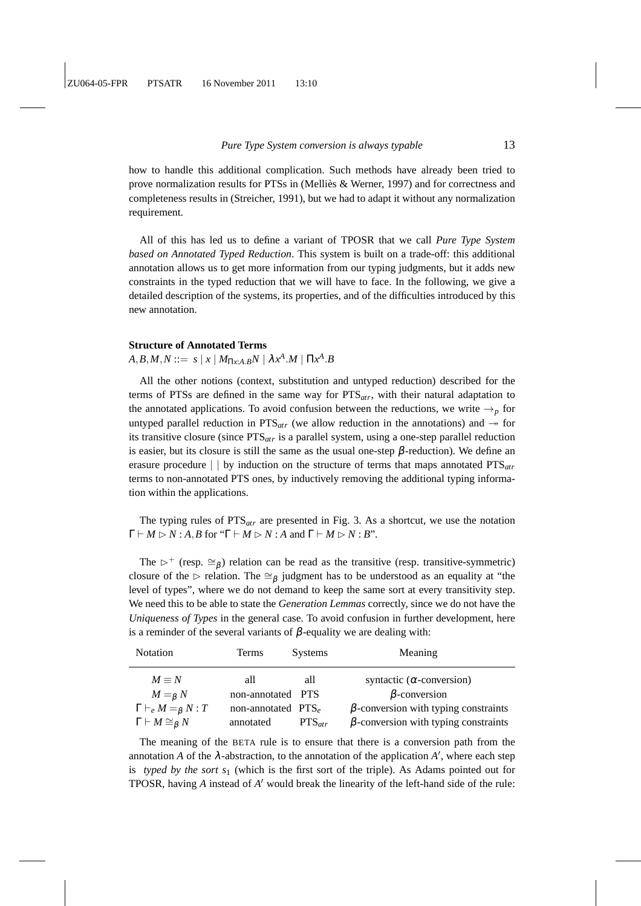how to handle this additional complication. Such methods have already been tried to prove normalization results for PTSs in (Melliès  $&$  Werner, 1997) and for correctness and completeness results in (Streicher, 1991), but we had to adapt it without any normalization requirement.

All of this has led us to define a variant of TPOSR that we call *Pure Type System based on Annotated Typed Reduction*. This system is built on a trade-off: this additional annotation allows us to get more information from our typing judgments, but it adds new constraints in the typed reduction that we will have to face. In the following, we give a detailed description of the systems, its properties, and of the difficulties introduced by this new annotation.

## **Structure of Annotated Terms**

## $A,B,M,N ::= s \mid x \mid M_{\Pi x: A.B}N \mid \lambda x^A.M \mid \Pi x^A.B$

All the other notions (context, substitution and untyped reduction) described for the terms of PTSs are defined in the same way for PTS*atr*, with their natural adaptation to the annotated applications. To avoid confusion between the reductions, we write  $\rightarrow$ <sub>p</sub> for untyped parallel reduction in  $PTS_{atr}$  (we allow reduction in the annotations) and  $\rightarrow$  for its transitive closure (since PTS*atr* is a parallel system, using a one-step parallel reduction is easier, but its closure is still the same as the usual one-step  $\beta$ -reduction). We define an erasure procedure | | by induction on the structure of terms that maps annotated PTS*atr* terms to non-annotated PTS ones, by inductively removing the additional typing information within the applications.

The typing rules of PTS*atr* are presented in Fig. 3. As a shortcut, we use the notation  $\Gamma \vdash M \rhd N : A, B \text{ for "}\Gamma \vdash M \rhd N : A \text{ and } \Gamma \vdash M \rhd N : B"$ .

The  $\triangleright^+$  (resp. ≅ $\beta$ ) relation can be read as the transitive (resp. transitive-symmetric) closure of the ⊳ relation. The  $\cong_{\beta}$  judgment has to be understood as an equality at "the level of types", where we do not demand to keep the same sort at every transitivity step. We need this to be able to state the *Generation Lemmas* correctly, since we do not have the *Uniqueness of Types* in the general case. To avoid confusion in further development, here is a reminder of the several variants of β-equality we are dealing with:

| <b>Notation</b>                  | <b>Terms</b>                   | <b>Systems</b> | Meaning                                     |
|----------------------------------|--------------------------------|----------------|---------------------------------------------|
| $M \equiv N$                     | all                            | all            | syntactic ( $\alpha$ -conversion)           |
| $M =_B N$                        | non-annotated PTS              |                | $\beta$ -conversion                         |
| $\Gamma\vdash_e M =_\beta N : T$ | non-annotated PTS <sub>o</sub> |                | $\beta$ -conversion with typing constraints |
| $\Gamma\vdash M\cong_{\beta} N$  | annotated                      | $PTS_{ctr}$    | $\beta$ -conversion with typing constraints |

The meaning of the BETA rule is to ensure that there is a conversion path from the annotation *A* of the  $\lambda$ -abstraction, to the annotation of the application  $A'$ , where each step is *typed by the sort s*<sup>1</sup> (which is the first sort of the triple). As Adams pointed out for TPOSR, having *A* instead of *A* ′ would break the linearity of the left-hand side of the rule: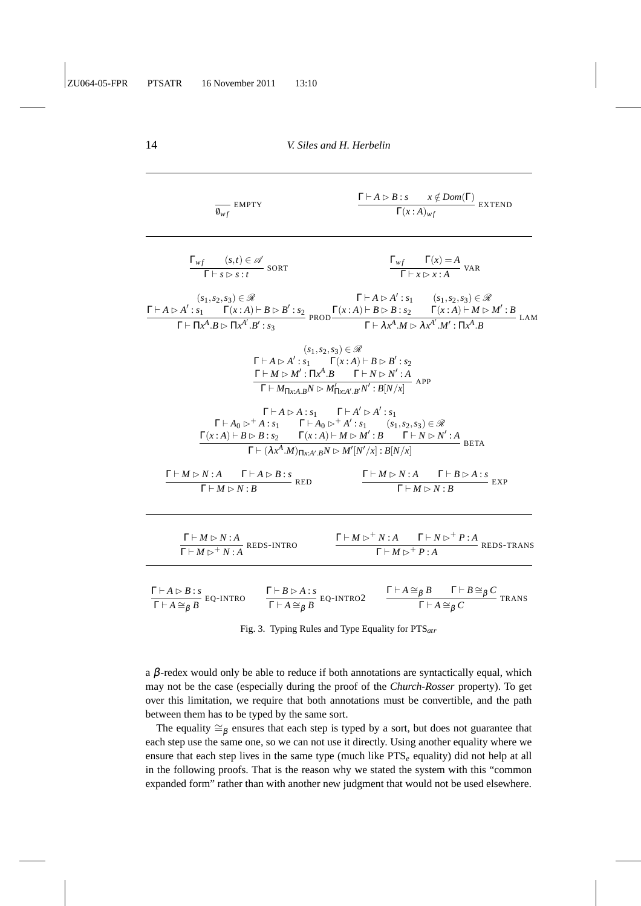| $\overline{\mathbf{0}_{wf}}$ EMPTY                                                                                                                                                                                                                                                                                                                                                                                                                                                             | $\frac{\Gamma\vdash A\vartriangleright B:s\quad x\notin Dom(\Gamma)}{\Gamma(x:A)_{wf}}$ EXTEND                                                     |
|------------------------------------------------------------------------------------------------------------------------------------------------------------------------------------------------------------------------------------------------------------------------------------------------------------------------------------------------------------------------------------------------------------------------------------------------------------------------------------------------|----------------------------------------------------------------------------------------------------------------------------------------------------|
| $\frac{\Gamma_{wf} (s,t) \in \mathscr{A}}{\Gamma \vdash s \rhd s \cdot t}$ SORT                                                                                                                                                                                                                                                                                                                                                                                                                | $\frac{\Gamma_{wf} \Gamma(x) = A}{\Gamma \vdash x \rhd x : A}$ VAR                                                                                 |
| $\frac{(\mathit{s}_1, \mathit{s}_2, \mathit{s}_3) \in \mathscr{R}}{\Gamma \vdash A \rhd A': \mathit{s}_1 \quad \Gamma(x:A) \vdash B \rhd B': \mathit{s}_2} \; \frac{\Gamma \vdash A \rhd A': \mathit{s}_1 \quad \quad (\mathit{s}_1, \mathit{s}_2, \mathit{s}_3) \in \mathscr{R}}{\Gamma \vdash \Pi x^A . B \rhd \Pi x^A'. B': \mathit{s}_3} \; \frac{\Gamma(x:A) \vdash B \rhd B : \mathit{s}_2 \quad \quad \Gamma(x:A) \vdash M \rhd M': B}{\Gamma \vdash \lambda x^A . M \rhd \lambda x^{A$ |                                                                                                                                                    |
| $(s_1,s_2,s_3) \in \mathcal{R}$<br>$\Gamma\vdash A\vartriangleright A': s_1\qquad \Gamma(x:A)\vdash B\vartriangleright B': s_2$<br>$\frac{\Gamma \vdash M \rhd M': \Pi x^A . B \qquad \Gamma \vdash N \rhd N': A}{\Gamma \vdash M_{\Pi x: A. B} N \rhd M_{\Pi x: A'. B'}' N': B[N/x]}$ APP                                                                                                                                                                                                     |                                                                                                                                                    |
| $\Gamma\vdash A\mathbin{\vartriangleright} A:s_1$ $\Gamma\vdash A'\mathbin{\vartriangleright} A':s_1$<br>$\frac{\Gamma\vdash A_0 \rhd^+ A:s_1 \qquad \Gamma\vdash A_0 \rhd^+ A': s_1 \qquad (s_1,s_2,s_3)\in \mathscr{R}}{\Gamma(x:A)\vdash B \rhd B:s_2 \qquad \Gamma(x:A)\vdash M \rhd M': B \qquad \Gamma\vdash N \rhd N': A \qquad \Gamma\vdash (\lambda x^A \cdot M)_{\Pi x: A': B} N \rhd M'[N'/x]: B[N/x]}$ BETA                                                                        |                                                                                                                                                    |
| $\frac{\Gamma \vdash M \triangleright N : A \qquad \Gamma \vdash A \triangleright B : s}{\Gamma \vdash M \sim N : R}$ RED<br>$\Gamma \vdash M \rhd N : B$                                                                                                                                                                                                                                                                                                                                      | $\frac{\Gamma \vdash M \rhd N : A \qquad \Gamma \vdash B \rhd A : s}{\Gamma \vdash M \rhd N \cdot R} \mathsf{EXP}$<br>$\Gamma \vdash M \rhd N : B$ |
| $\frac{\Gamma \vdash M \rhd N : A}{\Gamma \vdash M \rhd^+ N : A}$ REDS-INTRO                                                                                                                                                                                                                                                                                                                                                                                                                   | $\frac{\Gamma \vdash M \triangleright^+ N : A \qquad \Gamma \vdash N \triangleright^+ P : A}{\Gamma \vdash M \triangleright^+ P : A}$ REDS-TRANS   |
| $\frac{\Gamma\vdash A\triangleright B:s}{\Gamma\vdash A\cong_{\beta} B}$ EQ-INTRO $\qquad \frac{\Gamma\vdash B\triangleright A:s}{\Gamma\vdash A\cong_{\beta} B}$ EQ-INTRO2 $\qquad \frac{\Gamma\vdash A\cong_{\beta} B\qquad \Gamma\vdash B\cong_{\beta} C}{\Gamma\vdash A\cong_{\beta} C}$ TRANS                                                                                                                                                                                             |                                                                                                                                                    |

Fig. 3. Typing Rules and Type Equality for PTS*atr*

a  $\beta$ -redex would only be able to reduce if both annotations are syntactically equal, which may not be the case (especially during the proof of the *Church-Rosser* property). To get over this limitation, we require that both annotations must be convertible, and the path between them has to be typed by the same sort.

The equality  $\cong_\beta$  ensures that each step is typed by a sort, but does not guarantee that each step use the same one, so we can not use it directly. Using another equality where we ensure that each step lives in the same type (much like PTS*<sup>e</sup>* equality) did not help at all in the following proofs. That is the reason why we stated the system with this "common expanded form" rather than with another new judgment that would not be used elsewhere.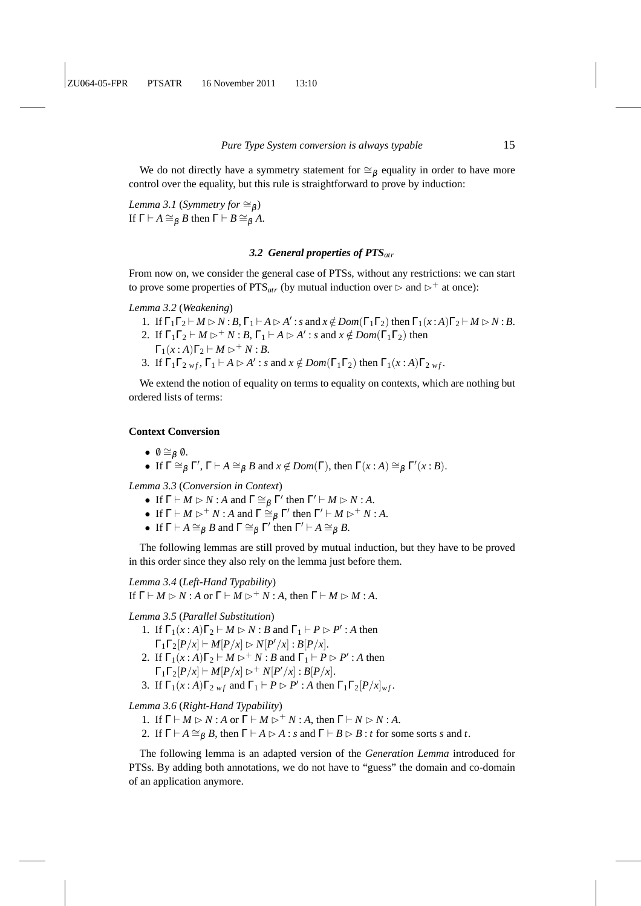We do not directly have a symmetry statement for  $\cong$ <sub>B</sub> equality in order to have more control over the equality, but this rule is straightforward to prove by induction:

*Lemma 3.1* (*Symmetry for*  $\cong_{\beta}$ ) If  $\Gamma \vdash A \cong_B B$  then  $\Gamma \vdash B \cong_B A$ .

## *3.2 General properties of PTSatr*

From now on, we consider the general case of PTSs, without any restrictions: we can start to prove some properties of PTS<sub>atr</sub> (by mutual induction over  $\triangleright$  and  $\triangleright^+$  at once):

*Lemma 3.2* (*Weakening*)

- 1. If  $\Gamma_1\Gamma_2 \vdash M \rhd N : B, \Gamma_1 \vdash A \rhd A' : s \text{ and } x \notin Dom(\Gamma_1\Gamma_2) \text{ then } \Gamma_1(x:A)\Gamma_2 \vdash M \rhd N : B.$
- 2. If  $\Gamma_1\Gamma_2 \vdash M \rhd^+ N : B, \Gamma_1 \vdash A \rhd A' : s \text{ and } x \notin Dom(\Gamma_1\Gamma_2) \text{ then}$  $\Gamma_1(x:A)\Gamma_2 \vdash M \rhd^+ N:B.$
- 3. If  $\Gamma_1 \Gamma_2$  *wf*,  $\Gamma_1 \vdash A \rhd A'$ : *s* and  $x \notin Dom(\Gamma_1 \Gamma_2)$  then  $\Gamma_1(x:A) \Gamma_2$  *wf*.

We extend the notion of equality on terms to equality on contexts, which are nothing but ordered lists of terms:

## **Context Conversion**

- $\theta \cong_{\beta} \theta$ .
- If  $\Gamma \cong_{\beta} \Gamma', \Gamma \vdash A \cong_{\beta} B$  and  $x \notin Dom(\Gamma)$ , then  $\Gamma(x:A) \cong_{\beta} \Gamma'(x:B)$ .

*Lemma 3.3* (*Conversion in Context*)

- If  $\Gamma \vdash M \rhd N : A$  and  $\Gamma \cong_{\beta} \Gamma'$  then  $\Gamma' \vdash M \rhd N : A$ .
- If  $\Gamma \vdash M \rhd^+ N$ : *A* and  $\Gamma \cong_{\beta} \Gamma'$  then  $\Gamma' \vdash M \rhd^+ N$ : *A*.
- If  $\Gamma \vdash A \cong_{\beta} B$  and  $\Gamma \cong_{\beta} \Gamma'$  then  $\Gamma' \vdash A \cong_{\beta} B$ .

The following lemmas are still proved by mutual induction, but they have to be proved in this order since they also rely on the lemma just before them.

*Lemma 3.4* (*Left-Hand Typability*) If  $\Gamma \vdash M \rhd N : A$  or  $\Gamma \vdash M \rhd^+ N : A$ , then  $\Gamma \vdash M \rhd M : A$ .

#### *Lemma 3.5* (*Parallel Substitution*)

- 1. If  $\Gamma_1(x:A)\Gamma_2 \vdash M \rhd N : B$  and  $\Gamma_1 \vdash P \rhd P' : A$  then  $\Gamma_1 \Gamma_2 [P/x] \vdash M[P/x] \rhd N[P'/x] : B[P/x].$
- 2. If  $\Gamma_1(x:A)\Gamma_2 \vdash M \rhd^+ N : B$  and  $\Gamma_1 \vdash P \rhd P' : A$  then  $\Gamma_1 \Gamma_2 [P/x] \vdash M[P/x] \rhd^+ N[P'/x] : B[P/x].$
- 3. If  $\Gamma_1(x:A)\Gamma_{2\; wf}$  and  $\Gamma_1 \vdash P \rhd P'$ : *A* then  $\Gamma_1\Gamma_2[P/x]_{wf}$ .

*Lemma 3.6* (*Right-Hand Typability*)

- 1. If  $\Gamma \vdash M \rhd N : A$  or  $\Gamma \vdash M \rhd^+ N : A$ , then  $\Gamma \vdash N \rhd N : A$ .
- 2. If  $\Gamma \vdash A \cong_B B$ , then  $\Gamma \vdash A \rhd A$ : *s* and  $\Gamma \vdash B \rhd B$ : *t* for some sorts *s* and *t*.

The following lemma is an adapted version of the *Generation Lemma* introduced for PTSs. By adding both annotations, we do not have to "guess" the domain and co-domain of an application anymore.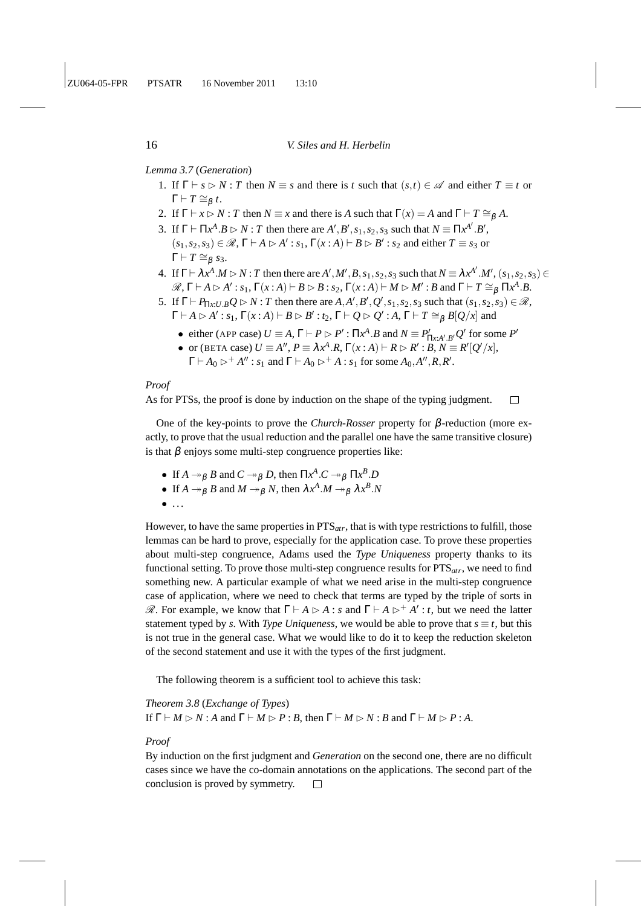*Lemma 3.7* (*Generation*)

- 1. If  $\Gamma \vdash s \rhd N$ : *T* then  $N \equiv s$  and there is *t* such that  $(s,t) \in \mathcal{A}$  and either  $T \equiv t$  or  $\Gamma \vdash T \cong_{\beta} t.$
- 2. If  $\Gamma \vdash x \rhd N$ : *T* then  $N \equiv x$  and there is *A* such that  $\Gamma(x) = A$  and  $\Gamma \vdash T \cong_B A$ .
- 3. If  $\Gamma \vdash \Pi x^A \cdot B \rhd N : T$  then there are  $A', B', s_1, s_2, s_3$  such that  $N \equiv \Pi x^{A'} \cdot B',$  $(s_1, s_2, s_3) \in \mathcal{R}, \Gamma \vdash A \rhd A' : s_1, \Gamma(x : A) \vdash B \rhd B' : s_2$  and either  $T \equiv s_3$  or  $\Gamma \vdash T \cong_{\beta} s_3.$
- 4. If  $\Gamma \vdash \lambda x^A.M \rhd N$ : T then there are  $A', M', B, s_1, s_2, s_3$  such that  $N \equiv \lambda x^{A'}. M', (s_1, s_2, s_3) \in$  $\mathscr{R}, \Gamma \vdash A \rhd A' : s_1, \Gamma(x:A) \vdash B \rhd B : s_2, \Gamma(x:A) \vdash M \rhd M' : B \text{ and } \Gamma \vdash T \cong_{\beta} \Pi x^A . B.$
- 5. If  $\Gamma \vdash P_{\Pi x:U.B}Q \rhd N$ : *T* then there are  $A, A', B', Q', s_1, s_2, s_3$  such that  $(s_1, s_2, s_3) \in \mathcal{R}$ ,  $\Gamma \vdash A \rhd A' : s_1, \Gamma(x:A) \vdash B \rhd B' : t_2, \Gamma \vdash Q \rhd Q' : A, \Gamma \vdash T \cong_{\beta} B[Q/x]$  and
	- either (APP case)  $U \equiv A$ ,  $\Gamma \vdash P \rhd P'$ :  $\prod x^A \cdot B$  and  $N \equiv P'_{\prod x:A' \cdot B'} Q'$  for some  $P'$
	- or (BETA case)  $U \equiv A''$ ,  $P \equiv \lambda x^A \cdot R$ ,  $\Gamma(x:A) \vdash R \rhd R' : B, N \equiv R' [Q'/x]$ ,  $\Gamma \vdash A_0 \rhd^+ A'' : s_1 \text{ and } \Gamma \vdash A_0 \rhd^+ A : s_1 \text{ for some } A_0, A'', R, R'.$

#### *Proof*

As for PTSs, the proof is done by induction on the shape of the typing judgment.  $\Box$ 

One of the key-points to prove the *Church-Rosser* property for β-reduction (more exactly, to prove that the usual reduction and the parallel one have the same transitive closure) is that  $\beta$  enjoys some multi-step congruence properties like:

- If  $A \rightarrow_{\beta} B$  and  $C \rightarrow_{\beta} D$ , then  $\Pi x^A \cdot C \rightarrow_{\beta} \Pi x^B \cdot D$
- If  $A \rightarrow_{\beta} B$  and  $M \rightarrow_{\beta} N$ , then  $\lambda x^{A} \cdot M \rightarrow_{\beta} \lambda x^{B} \cdot N$
- $\bullet$  ...

However, to have the same properties in PTS*atr*, that is with type restrictions to fulfill, those lemmas can be hard to prove, especially for the application case. To prove these properties about multi-step congruence, Adams used the *Type Uniqueness* property thanks to its functional setting. To prove those multi-step congruence results for PTS*atr*, we need to find something new. A particular example of what we need arise in the multi-step congruence case of application, where we need to check that terms are typed by the triple of sorts in  $\mathscr{R}$ . For example, we know that  $\Gamma \vdash A \rhd A : s$  and  $\Gamma \vdash A \rhd^+ A' : t$ , but we need the latter statement typed by *s*. With *Type Uniqueness*, we would be able to prove that  $s \equiv t$ , but this is not true in the general case. What we would like to do it to keep the reduction skeleton of the second statement and use it with the types of the first judgment.

The following theorem is a sufficient tool to achieve this task:

*Theorem 3.8* (*Exchange of Types*) If  $\Gamma \vdash M \rhd N$  : *A* and  $\Gamma \vdash M \rhd P$  : *B*, then  $\Gamma \vdash M \rhd N$  : *B* and  $\Gamma \vdash M \rhd P$  : *A*.

#### *Proof*

By induction on the first judgment and *Generation* on the second one, there are no difficult cases since we have the co-domain annotations on the applications. The second part of the conclusion is proved by symmetry. $\Box$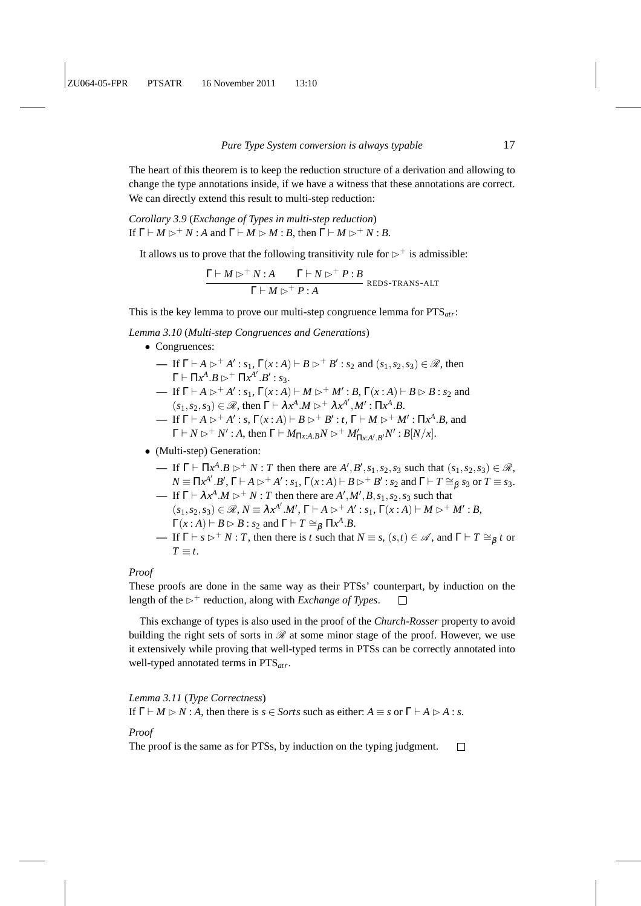The heart of this theorem is to keep the reduction structure of a derivation and allowing to change the type annotations inside, if we have a witness that these annotations are correct. We can directly extend this result to multi-step reduction:

*Corollary 3.9* (*Exchange of Types in multi-step reduction*) If  $\Gamma \vdash M \rhd^+ N$ : *A* and  $\Gamma \vdash M \rhd M$ : *B*, then  $\Gamma \vdash M \rhd^+ N$ : *B*.

It allows us to prove that the following transitivity rule for  $\triangleright^+$  is admissible:

$$
\frac{\Gamma \vdash M \rhd^+ N : A \qquad \Gamma \vdash N \rhd^+ P : B}{\Gamma \vdash M \rhd^+ P : A}
$$
 REDS-TRANS-ALT

This is the key lemma to prove our multi-step congruence lemma for PTS*atr*:

*Lemma 3.10* (*Multi-step Congruences and Generations*)

- Congruences:
	- **—** If  $\Gamma \vdash A \rhd^+ A' : s_1, \Gamma(x:A) \vdash B \rhd^+ B' : s_2$  and  $(s_1, s_2, s_3) \in \mathcal{R}$ , then  $Γ ⊢ Πx<sup>A</sup>.B ⊵ † Πx<sup>A'</sup>.B' : s<sub>3</sub>.$
	- If Γ  $\vdash$  *A*  $\triangleright$  <sup>+</sup> *A*' : *s*<sub>1</sub>, Γ(*x* : *A*)  $\vdash$  *M*  $\triangleright$  <sup>+</sup> *M*' : *B*, Γ(*x* : *A*)  $\vdash$  *B*  $\triangleright$  *B* : *s*<sub>2</sub> and  $(s_1, s_2, s_3) \in \mathcal{R}$ , then  $\Gamma \vdash \lambda x^A.M \rhd^+ \lambda x^{A'}, M': \Pi x^A.B.$
	- If Γ  $\vdash$  *A*  $\triangleright$ <sup>+</sup> *A*' : *s*, Γ(*x* : *A*)  $\vdash$  *B*  $\triangleright$ <sup>+</sup> *B*' : *t*, Γ  $\vdash$  *M*  $\triangleright$ <sup>+</sup> *M*' : Π*x*<sup>*A*</sup>.*B*, and  $\Gamma \vdash N \rhd^+ N' : A$ , then  $\Gamma \vdash M_{\Pi x:A.B}N \rhd^+ M'_{\Pi x:A'.B'}N' : B[N/x].$

#### • (Multi-step) Generation:

- $\blacksquare$  If  $\Gamma \vdash \Pi x^A \cdot B \rhd^+ N$ : *T* then there are  $A', B', s_1, s_2, s_3$  such that  $(s_1, s_2, s_3) \in \mathcal{R}$ ,  $N \equiv \Pi x^{A'} . B', \Gamma \vdash A \rhd^+ A' : s_1, \Gamma(x:A) \vdash B \rhd^+ B' : s_2 \text{ and } \Gamma \vdash T \cong_{\beta} s_3 \text{ or } T \equiv s_3.$
- $\blacksquare$  If  $\Gamma \vdash \lambda x^A \cdot M \rhd^+ N$ : *T* then there are  $A', M', B, s_1, s_2, s_3$  such that  $(s_1, s_2, s_3) \in \mathcal{R}, N \equiv \lambda x^{A'}. M', \Gamma \vdash A \rhd^+ A' : s_1, \Gamma(x:A) \vdash M \rhd^+ M' : B$  $\Gamma(x : A) \vdash B \rhd B : s_2 \text{ and } \Gamma \vdash T \cong_{\beta} \Pi x^A . B.$
- $\blacktriangleright$  If  $\Gamma \vdash s \triangleright^+ N$ : *T*, then there is *t* such that  $N \equiv s$ ,  $(s,t) \in \mathcal{A}$ , and  $\Gamma \vdash T \cong_{\beta} t$  or  $T \equiv t$ .

## *Proof*

These proofs are done in the same way as their PTSs' counterpart, by induction on the length of the  $\triangleright^+$  reduction, along with *Exchange of Types*.  $\Box$ 

This exchange of types is also used in the proof of the *Church-Rosser* property to avoid building the right sets of sorts in  $\mathcal R$  at some minor stage of the proof. However, we use it extensively while proving that well-typed terms in PTSs can be correctly annotated into well-typed annotated terms in PTS*atr*.

*Lemma 3.11* (*Type Correctness*)

If  $\Gamma \vdash M \rhd N : A$ , then there is  $s \in$  *Sorts* such as either:  $A \equiv s$  or  $\Gamma \vdash A \rhd A : s$ .

#### *Proof*

The proof is the same as for PTSs, by induction on the typing judgment. $\Box$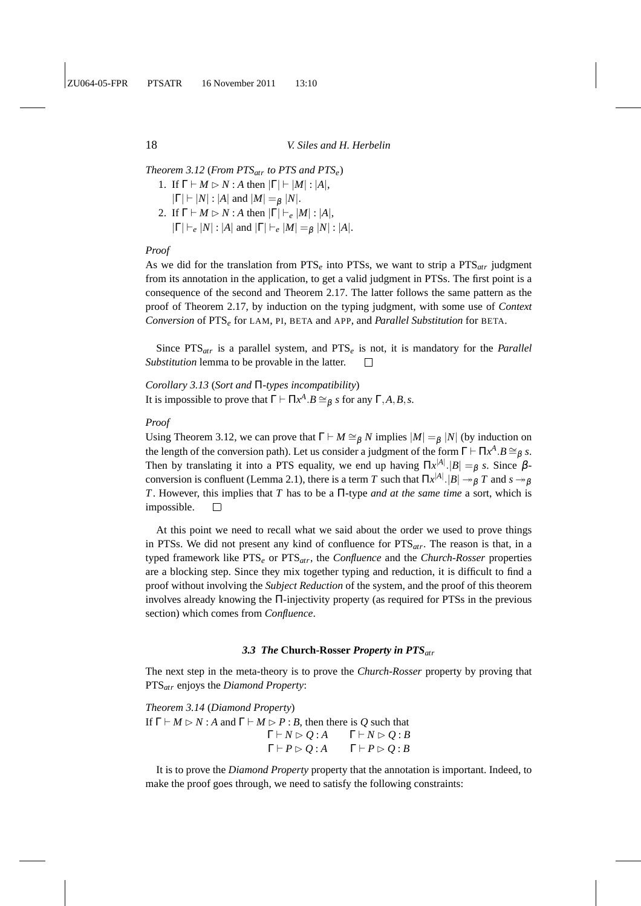*Theorem 3.12* (*From PTSatr to PTS and PTSe*) 1. If  $\Gamma \vdash M \rhd N$  : *A* then  $|\Gamma| \vdash |M|$  :  $|A|$ ,

 $|\Gamma| \vdash |N|$ : |*A*| and  $|M| =_{\beta} |N|$ . 2. If  $\Gamma \vdash M \rhd N$  : *A* then  $|\Gamma| \vdash_e |M|$  :  $|A|$ ,  $|\Gamma| \vdash_e |N|$ :  $|A|$  and  $|\Gamma| \vdash_e |M| =_\beta |N|$ :  $|A|$ .

## *Proof*

As we did for the translation from PTS*<sup>e</sup>* into PTSs, we want to strip a PTS*atr* judgment from its annotation in the application, to get a valid judgment in PTSs. The first point is a consequence of the second and Theorem 2.17. The latter follows the same pattern as the proof of Theorem 2.17, by induction on the typing judgment, with some use of *Context Conversion* of PTS*<sup>e</sup>* for LAM, PI, BETA and APP, and *Parallel Substitution* for BETA.

Since PTS*atr* is a parallel system, and PTS*<sup>e</sup>* is not, it is mandatory for the *Parallel Substitution* lemma to be provable in the latter.  $\Box$ 

*Corollary 3.13* (*Sort and* Π*-types incompatibility*) It is impossible to prove that  $\Gamma \vdash \Pi x^A . B \cong_{\beta} s$  for any  $\Gamma, A, B, s$ .

## *Proof*

Using Theorem 3.12, we can prove that  $\Gamma \vdash M \cong_{\beta} N$  implies  $|M| =_{\beta} |N|$  (by induction on the length of the conversion path). Let us consider a judgment of the form  $\Gamma \vdash \Pi x^A . B \cong_{\beta} s$ . Then by translating it into a PTS equality, we end up having  $\Pi x^{|A|}$ .  $|B| =_{\beta} s$ . Since  $\beta$ conversion is confluent (Lemma 2.1), there is a term  $T$  such that  $\Pi x^{|A|}.|B| \twoheadrightarrow_{\beta} T$  and  $s \twoheadrightarrow_{\beta}$ *T*. However, this implies that *T* has to be a Π-type *and at the same time* a sort, which is impossible.  $\Box$ 

At this point we need to recall what we said about the order we used to prove things in PTSs. We did not present any kind of confluence for PTS*atr*. The reason is that, in a typed framework like PTS*<sup>e</sup>* or PTS*atr*, the *Confluence* and the *Church-Rosser* properties are a blocking step. Since they mix together typing and reduction, it is difficult to find a proof without involving the *Subject Reduction* of the system, and the proof of this theorem involves already knowing the Π-injectivity property (as required for PTSs in the previous section) which comes from *Confluence*.

#### *3.3 The* **Church-Rosser** *Property in PTSatr*

The next step in the meta-theory is to prove the *Church-Rosser* property by proving that PTS*atr* enjoys the *Diamond Property*:

*Theorem 3.14* (*Diamond Property*) If  $\Gamma \vdash M \rhd N$ : *A* and  $\Gamma \vdash M \rhd P$ : *B*, then there is *Q* such that  $\Gamma \vdash N \triangleright Q : A \qquad \Gamma \vdash N \triangleright Q : B$  $\Gamma \vdash P \triangleright Q : A$   $\Gamma \vdash P \triangleright Q : B$ 

It is to prove the *Diamond Property* property that the annotation is important. Indeed, to make the proof goes through, we need to satisfy the following constraints: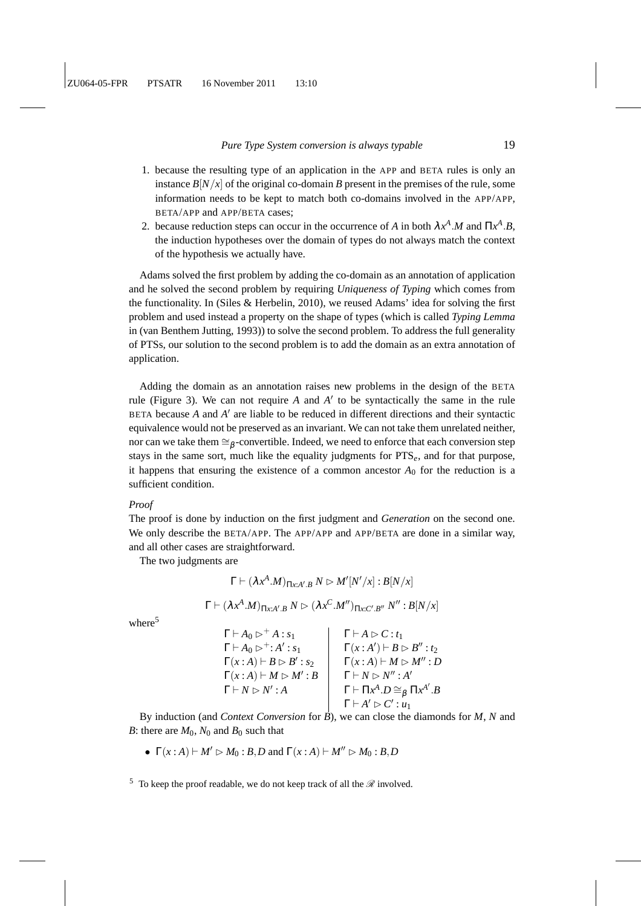- 1. because the resulting type of an application in the APP and BETA rules is only an instance  $B[N/x]$  of the original co-domain *B* present in the premises of the rule, some information needs to be kept to match both co-domains involved in the APP/APP, BETA/APP and APP/BETA cases;
- 2. because reduction steps can occur in the occurrence of *A* in both  $\lambda x^A \cdot M$  and  $\Pi x^A \cdot B$ , the induction hypotheses over the domain of types do not always match the context of the hypothesis we actually have.

Adams solved the first problem by adding the co-domain as an annotation of application and he solved the second problem by requiring *Uniqueness of Typing* which comes from the functionality. In (Siles & Herbelin, 2010), we reused Adams' idea for solving the first problem and used instead a property on the shape of types (which is called *Typing Lemma* in (van Benthem Jutting, 1993)) to solve the second problem. To address the full generality of PTSs, our solution to the second problem is to add the domain as an extra annotation of application.

Adding the domain as an annotation raises new problems in the design of the BETA rule (Figure 3). We can not require *A* and *A* ′ to be syntactically the same in the rule BETA because *A* and *A* ′ are liable to be reduced in different directions and their syntactic equivalence would not be preserved as an invariant. We can not take them unrelated neither, nor can we take them ≅ $\beta$ -convertible. Indeed, we need to enforce that each conversion step stays in the same sort, much like the equality judgments for PTS*e*, and for that purpose, it happens that ensuring the existence of a common ancestor  $A_0$  for the reduction is a sufficient condition.

#### *Proof*

The proof is done by induction on the first judgment and *Generation* on the second one. We only describe the BETA/APP. The APP/APP and APP/BETA are done in a similar way, and all other cases are straightforward.

The two judgments are

$$
\Gamma \vdash (\lambda x^A.M)_{\Pi x:A'.B} N \rhd M'[N'/x] : B[N/x]
$$

$$
\Gamma \vdash (\lambda x^A.M)_{\Pi x:A'.B} N \rhd (\lambda x^C.M'')_{\Pi x:C'.B''} N'' : B[N/x]
$$

where $5$ 

 $\Gamma \vdash A_0 \triangleright^+ A : s_1$   $\Gamma \vdash A \triangleright C : t_1$  $\Gamma\vdash A_0\triangleright^+\colon A'$ :  $s_1$   $\Gamma(x:A') \vdash B \rhd B'' : t_2$  $\Gamma(x:A) \vdash B \rhd B'$  $\Gamma(x : A) \vdash M \rhd M'' : D$  $\Gamma(x:A) \vdash M \rhd M': B$ : *B*  $\Gamma \vdash N \rhd N'' : A'$  $\Gamma \vdash N \rhd N'$ : *A*  $\Gamma \vdash \Pi x^A \cdot D \cong_\beta \Pi x^{A'} \cdot B$  $\Gamma \vdash A' \rhd C' : u_1$ 

By induction (and *Context Conversion* for *B*), we can close the diamonds for *M*, *N* and *B*: there are  $M_0$ ,  $N_0$  and  $B_0$  such that

•  $\Gamma(x : A) \vdash M' \rhd M_0 : B, D \text{ and } \Gamma(x : A) \vdash M'' \rhd M_0 : B, D$ 

<sup>5</sup> To keep the proof readable, we do not keep track of all the  $\mathscr R$  involved.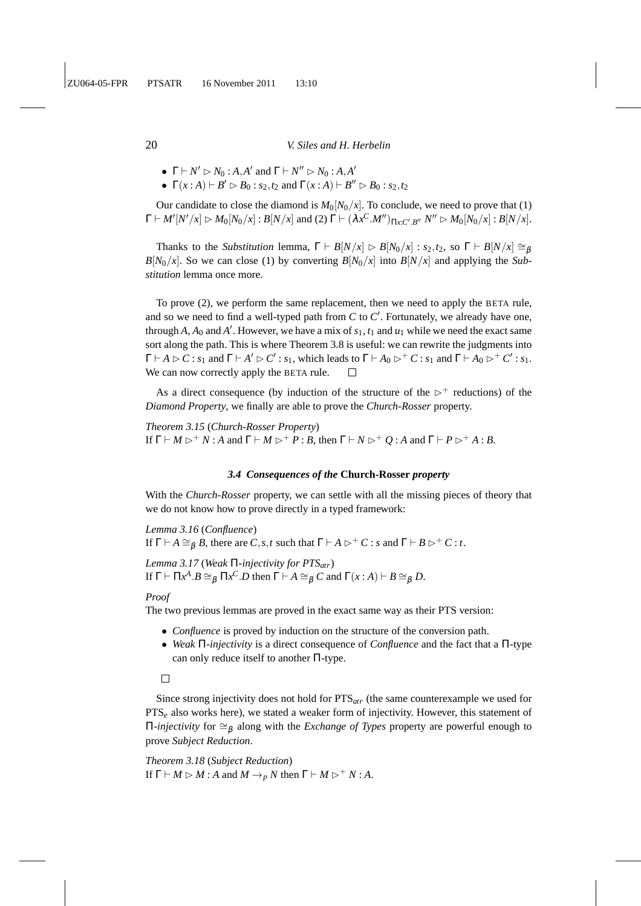- $\Gamma \vdash N' \rhd N_0 : A, A' \text{ and } \Gamma \vdash N'' \rhd N_0 : A, A'$
- $\Gamma(x : A) \vdash B' \rhd B_0 : s_2, t_2 \text{ and } \Gamma(x : A) \vdash B'' \rhd B_0 : s_2, t_2$

Our candidate to close the diamond is  $M_0[N_0/x]$ . To conclude, we need to prove that (1)  $\Gamma \vdash M'[N'/x] \rhd M_0[N_0/x] : B[N/x] \text{ and (2) } \Gamma \vdash (\lambda x^C.M'')_{\Pi x:C'.B''} N'' \rhd M_0[N_0/x] : B[N/x].$ 

Thanks to the *Substitution* lemma,  $\Gamma \vdash B[N/x] \rhd B[N_0/x] : s_2, t_2$ , so  $\Gamma \vdash B[N/x] \cong_B$  $B[N_0/x]$ . So we can close (1) by converting  $B[N_0/x]$  into  $B[N/x]$  and applying the *Substitution* lemma once more.

To prove (2), we perform the same replacement, then we need to apply the BETA rule, and so we need to find a well-typed path from *C* to *C* ′ . Fortunately, we already have one, through  $A$ ,  $A_0$  and  $A'$ . However, we have a mix of  $s_1$ ,  $t_1$  and  $u_1$  while we need the exact same sort along the path. This is where Theorem 3.8 is useful: we can rewrite the judgments into  $\Gamma \vdash A \rhd C : s_1$  and  $\Gamma \vdash A' \rhd C' : s_1$ , which leads to  $\Gamma \vdash A_0 \rhd^+ C : s_1$  and  $\Gamma \vdash A_0 \rhd^+ C' : s_1$ . We can now correctly apply the BETA rule.  $\Box$ 

As a direct consequence (by induction of the structure of the  $\triangleright^+$  reductions) of the *Diamond Property*, we finally are able to prove the *Church-Rosser* property.

*Theorem 3.15* (*Church-Rosser Property*) If  $\Gamma \vdash M \rhd^+ N$ : *A* and  $\Gamma \vdash M \rhd^+ P$ : *B*, then  $\Gamma \vdash N \rhd^+ Q$ : *A* and  $\Gamma \vdash P \rhd^+ A$ : *B*.

### *3.4 Consequences of the* **Church-Rosser** *property*

With the *Church-Rosser* property, we can settle with all the missing pieces of theory that we do not know how to prove directly in a typed framework:

*Lemma 3.16* (*Confluence*) If  $\Gamma \vdash A \cong_B B$ , there are *C*, *s*, *t* such that  $\Gamma \vdash A \rhd^+ C$  : *s* and  $\Gamma \vdash B \rhd^+ C$  : *t*.

*Lemma 3.17* (*Weak* Π*-injectivity for PTSatr*) If  $\Gamma \vdash \Pi x^A . B \cong_\beta \Pi x^C . D$  then  $\Gamma \vdash A \cong_\beta C$  and  $\Gamma(x : A) \vdash B \cong_\beta D$ .

*Proof*

The two previous lemmas are proved in the exact same way as their PTS version:

- *Confluence* is proved by induction on the structure of the conversion path.
- *Weak* Π*-injectivity* is a direct consequence of *Confluence* and the fact that a Π-type can only reduce itself to another Π-type.

 $\Box$ 

Since strong injectivity does not hold for PTS*atr* (the same counterexample we used for PTS<sub>e</sub> also works here), we stated a weaker form of injectivity. However, this statement of  $\Pi$ *-injectivity* for  $\cong$ <sub>β</sub> along with the *Exchange of Types* property are powerful enough to prove *Subject Reduction*.

*Theorem 3.18* (*Subject Reduction*) If  $\Gamma \vdash M \rhd M : A$  and  $M \rightarrow_p N$  then  $\Gamma \vdash M \rhd^+ N : A$ .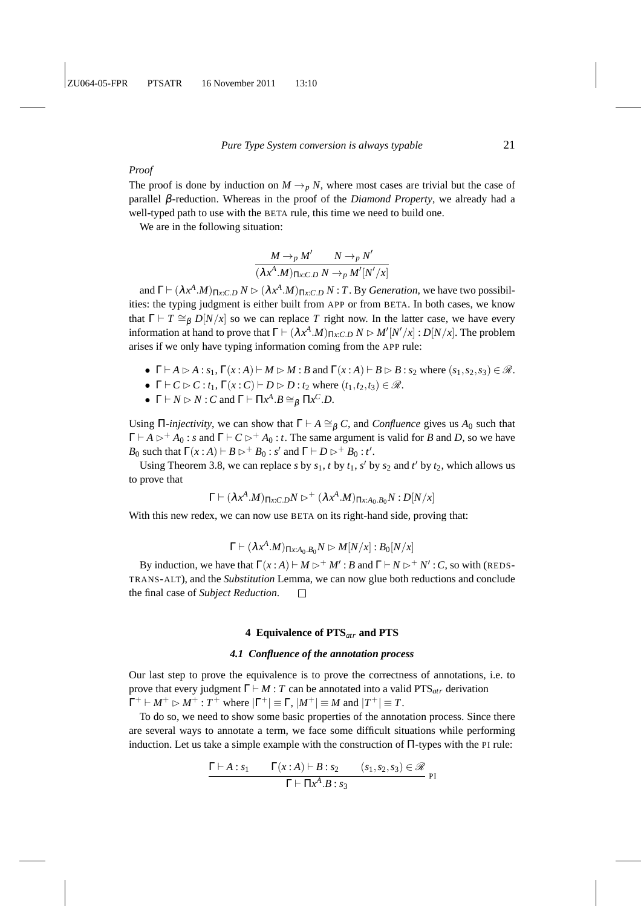## *Proof*

The proof is done by induction on  $M \rightarrow p N$ , where most cases are trivial but the case of parallel β-reduction. Whereas in the proof of the *Diamond Property*, we already had a well-typed path to use with the BETA rule, this time we need to build one.

We are in the following situation:

$$
\frac{M \to_{p} M'}{(\lambda x^{A}.M)_{\Pi x:C.D} N \to_{p} M'[N'/x]}
$$

and  $\Gamma \vdash (\lambda x^A.M)_{\Pi x:C.D} N \rhd (\lambda x^A.M)_{\Pi x:C.D} N : T$ . By *Generation*, we have two possibilities: the typing judgment is either built from APP or from BETA. In both cases, we know that  $\Gamma \vdash T \cong_{\beta} D[N/x]$  so we can replace *T* right now. In the latter case, we have every information at hand to prove that  $\Gamma \vdash (\lambda x^A \cdot M)_{\Pi x : C.D} N \rhd M'[N'/x] : D[N/x]$ . The problem arises if we only have typing information coming from the APP rule:

- $\Gamma \vdash A \rhd A : s_1, \Gamma(x:A) \vdash M \rhd M : B \text{ and } \Gamma(x:A) \vdash B \rhd B : s_2 \text{ where } (s_1, s_2, s_3) \in \mathcal{R}.$
- $\Gamma \vdash C \triangleright C : t_1, \Gamma(x : C) \vdash D \triangleright D : t_2 \text{ where } (t_1, t_2, t_3) \in \mathcal{R}.$
- $\Gamma \vdash N \rhd N : C$  and  $\Gamma \vdash \Pi x^A . B \cong_{\beta} \Pi x^C . D$ .

Using Π-*injectivity*, we can show that  $\Gamma \vdash A \cong_{\beta} C$ , and *Confluence* gives us  $A_0$  such that  $\Gamma \vdash A \rhd^+ A_0$ : *s* and  $\Gamma \vdash C \rhd^+ A_0$ : *t*. The same argument is valid for *B* and *D*, so we have *B*<sub>0</sub> such that  $\Gamma(x:A) \vdash B \rhd^+ B_0 : s'$  and  $\Gamma \vdash D \rhd^+ B_0 : t'.$ 

Using Theorem 3.8, we can replace *s* by  $s_1$ , *t* by  $t_1$ , *s*<sup> $\prime$ </sup> by  $s_2$  and *t*<sup> $\prime$ </sup> by  $t_2$ , which allows us to prove that

$$
\Gamma \vdash (\lambda x^A.M)_{\Pi x:C.D}N \rhd^+ (\lambda x^A.M)_{\Pi x:A_0.B_0}N : D[N/x]
$$

With this new redex, we can now use BETA on its right-hand side, proving that:

$$
\Gamma \vdash (\lambda x^A.M)_{\Pi x : A_0.B_0} N \rhd M[N/x] : B_0[N/x]
$$

By induction, we have that  $\Gamma(x : A) \vdash M \rhd^+ M' : B$  and  $\Gamma \vdash N \rhd^+ N' : C$ , so with (REDS-TRANS-ALT), and the *Substitution* Lemma, we can now glue both reductions and conclude the final case of *Subject Reduction*.  $\Box$ 

#### **4 Equivalence of PTS***atr* **and PTS**

#### *4.1 Confluence of the annotation process*

Our last step to prove the equivalence is to prove the correctness of annotations, i.e. to prove that every judgment  $\Gamma \vdash M : T$  can be annotated into a valid PTS<sub>atr</sub> derivation  $\Gamma^+ \vdash M^+ \rhd M^+ : T^+$  where  $|\Gamma^+| \equiv \Gamma$ ,  $|M^+| \equiv M$  and  $|T^+| \equiv T$ .

To do so, we need to show some basic properties of the annotation process. Since there are several ways to annotate a term, we face some difficult situations while performing induction. Let us take a simple example with the construction of Π-types with the PI rule:

$$
\frac{\Gamma\vdash A:s_1\qquad \Gamma(x:A)\vdash B:s_2\qquad (s_1,s_2,s_3)\in\mathscr{R}}{\Gamma\vdash \Pi x^A.B:s_3}
$$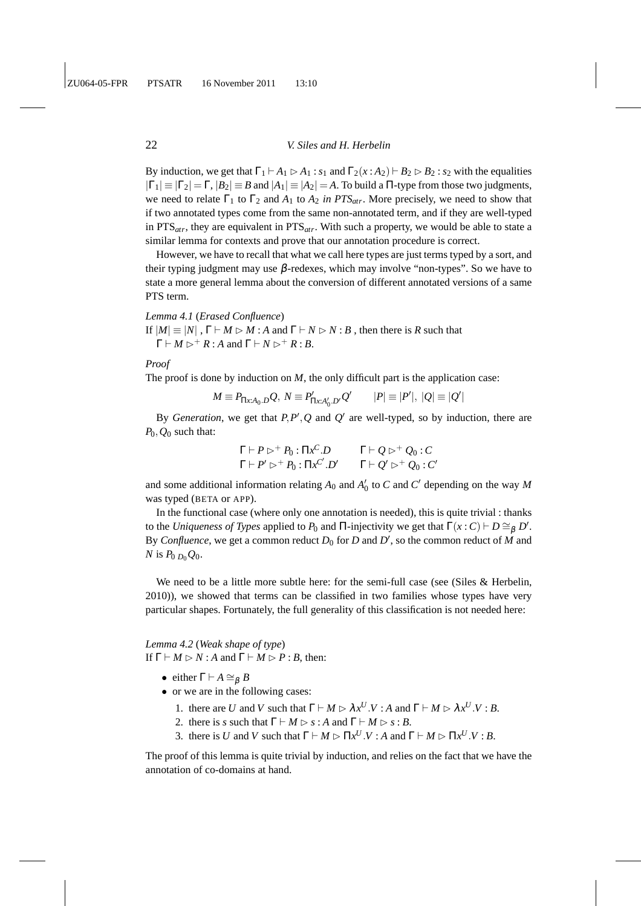By induction, we get that  $\Gamma_1 \vdash A_1 \triangleright A_1 : s_1$  and  $\Gamma_2(x:A_2) \vdash B_2 \triangleright B_2 : s_2$  with the equalities  $|\Gamma_1| \equiv |\Gamma_2| = \Gamma$ ,  $|B_2| \equiv B$  and  $|A_1| \equiv |A_2| = A$ . To build a  $\Pi$ -type from those two judgments, we need to relate  $\Gamma_1$  to  $\Gamma_2$  and  $A_1$  to  $A_2$  *in PTS<sub>atr</sub>*. More precisely, we need to show that if two annotated types come from the same non-annotated term, and if they are well-typed in PTS*atr*, they are equivalent in PTS*atr*. With such a property, we would be able to state a similar lemma for contexts and prove that our annotation procedure is correct.

However, we have to recall that what we call here types are just terms typed by a sort, and their typing judgment may use  $\beta$ -redexes, which may involve "non-types". So we have to state a more general lemma about the conversion of different annotated versions of a same PTS term.

## *Lemma 4.1* (*Erased Confluence*)

If  $|M| \equiv |N|$ ,  $\Gamma \vdash M \rhd M : A$  and  $\Gamma \vdash N \rhd N : B$ , then there is *R* such that  $\Gamma \vdash M \triangleright^+ R : A \text{ and } \Gamma \vdash N \triangleright^+ R : B$ .

#### *Proof*

The proof is done by induction on  $M$ , the only difficult part is the application case:

$$
M \equiv P_{\Pi x:A_0.D}Q, N \equiv P'_{\Pi x:A'_0.D'}Q' \qquad |P| \equiv |P'|, |Q| \equiv |Q'|
$$

By *Generation*, we get that  $P, P', Q$  and  $Q'$  are well-typed, so by induction, there are *P*0,*Q*<sup>0</sup> such that:

$$
\Gamma \vdash P \rhd^+ P_0 : \Pi x^C \cdot D \qquad \Gamma \vdash Q \rhd^+ Q_0 : C \n\Gamma \vdash P' \rhd^+ P_0 : \Pi x^{C'} \cdot D' \qquad \Gamma \vdash Q' \rhd^+ Q_0 : C'
$$

and some additional information relating  $A_0$  and  $A'_0$  to  $C$  and  $C'$  depending on the way  $M$ was typed (BETA or APP).

In the functional case (where only one annotation is needed), this is quite trivial : thanks to the *Uniqueness of Types* applied to  $P_0$  and  $\Pi$ -injectivity we get that  $\Gamma(x : C) \vdash D \cong_{\beta} D'$ . By *Confluence*, we get a common reduct  $D_0$  for  $D$  and  $D'$ , so the common reduct of  $M$  and *N* is  $P_0$   $_{D_0}Q_0$ .

We need to be a little more subtle here: for the semi-full case (see (Siles & Herbelin, 2010)), we showed that terms can be classified in two families whose types have very particular shapes. Fortunately, the full generality of this classification is not needed here:

*Lemma 4.2* (*Weak shape of type*) If  $\Gamma \vdash M \rhd N$ : *A* and  $\Gamma \vdash M \rhd P$ : *B*, then:

- either  $\Gamma \vdash A \cong_B B$
- or we are in the following cases:
	- 1. there are *U* and *V* such that  $\Gamma \vdash M \rhd \lambda x^U . V : A$  and  $\Gamma \vdash M \rhd \lambda x^U . V : B$ .
	- 2. there is *s* such that  $\Gamma \vdash M \rhd s : A$  and  $\Gamma \vdash M \rhd s : B$ .
	- 3. there is *U* and *V* such that  $\Gamma \vdash M \rhd \Pi x^U . V : A$  and  $\Gamma \vdash M \rhd \Pi x^U . V : B$ .

The proof of this lemma is quite trivial by induction, and relies on the fact that we have the annotation of co-domains at hand.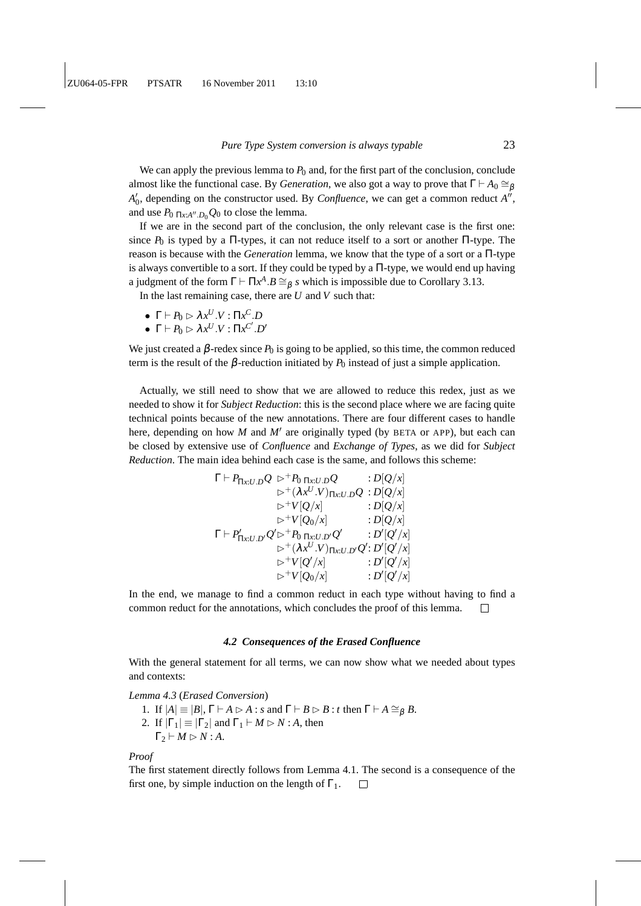We can apply the previous lemma to  $P_0$  and, for the first part of the conclusion, conclude almost like the functional case. By *Generation*, we also got a way to prove that  $\Gamma \vdash A_0 \cong_{\beta} A_0$  $A'_{0}$ , depending on the constructor used. By *Confluence*, we can get a common reduct  $A''$ , and use  $P_0$   $\pi x A'' D_0 Q_0$  to close the lemma.

If we are in the second part of the conclusion, the only relevant case is the first one: since  $P_0$  is typed by a  $\Pi$ -types, it can not reduce itself to a sort or another  $\Pi$ -type. The reason is because with the *Generation* lemma, we know that the type of a sort or a Π-type is always convertible to a sort. If they could be typed by a Π-type, we would end up having a judgment of the form  $\Gamma \vdash \Pi x^A \cdot B \cong_\beta s$  which is impossible due to Corollary 3.13.

In the last remaining case, there are *U* and *V* such that:

- $\Gamma \vdash P_0 \rhd \lambda x^U . V : \Pi x^C . D$
- $\Gamma \vdash P_0 \rhd \lambda x^U . V : \Pi x^{C'} . D'$

We just created a  $\beta$ -redex since  $P_0$  is going to be applied, so this time, the common reduced term is the result of the  $\beta$ -reduction initiated by  $P_0$  instead of just a simple application.

Actually, we still need to show that we are allowed to reduce this redex, just as we needed to show it for *Subject Reduction*: this is the second place where we are facing quite technical points because of the new annotations. There are four different cases to handle here, depending on how  $M$  and  $M'$  are originally typed (by BETA or APP), but each can be closed by extensive use of *Confluence* and *Exchange of Types*, as we did for *Subject Reduction*. The main idea behind each case is the same, and follows this scheme:

$$
\Gamma \vdash P_{\Pi x:U,D} Q \; \triangleright \; P_{0 \Pi x:U,D} Q \qquad : D[Q/x] \n \triangleright^+(\lambda x^U.V)_{\Pi x:U,D} Q : D[Q/x] \n \triangleright^+ V[Q/x] \qquad : D[Q/x] \n \triangleright^+ V[Q_0/x] \qquad : D[Q/x] \n \Gamma \vdash P'_{\Pi x:U,D'} Q' \triangleright^+ P_{0 \Pi x:U,D'} Q' \qquad : D'[Q'/x] \n \triangleright^+(\lambda x^U.V)_{\Pi x:U,D'} Q' : D'[Q'/x] \n \triangleright^+ V[Q'/x] \qquad : D'[Q'/x] \n \triangleright^+ V[Q_0/x] \qquad : D'[Q'/x]
$$

In the end, we manage to find a common reduct in each type without having to find a common reduct for the annotations, which concludes the proof of this lemma.  $\Box$ 

#### *4.2 Consequences of the Erased Confluence*

With the general statement for all terms, we can now show what we needed about types and contexts:

*Lemma 4.3* (*Erased Conversion*)

1. If  $|A| \equiv |B|$ ,  $\Gamma \vdash A \rhd A$ : *s* and  $\Gamma \vdash B \rhd B$ : *t* then  $\Gamma \vdash A \cong_B B$ . 2. If  $|\Gamma_1| \equiv |\Gamma_2|$  and  $\Gamma_1 \vdash M \rhd N : A$ , then  $\Gamma_2 \vdash M \rhd N : A$ .

*Proof*

The first statement directly follows from Lemma 4.1. The second is a consequence of the first one, by simple induction on the length of  $\Gamma_1$ .  $\Box$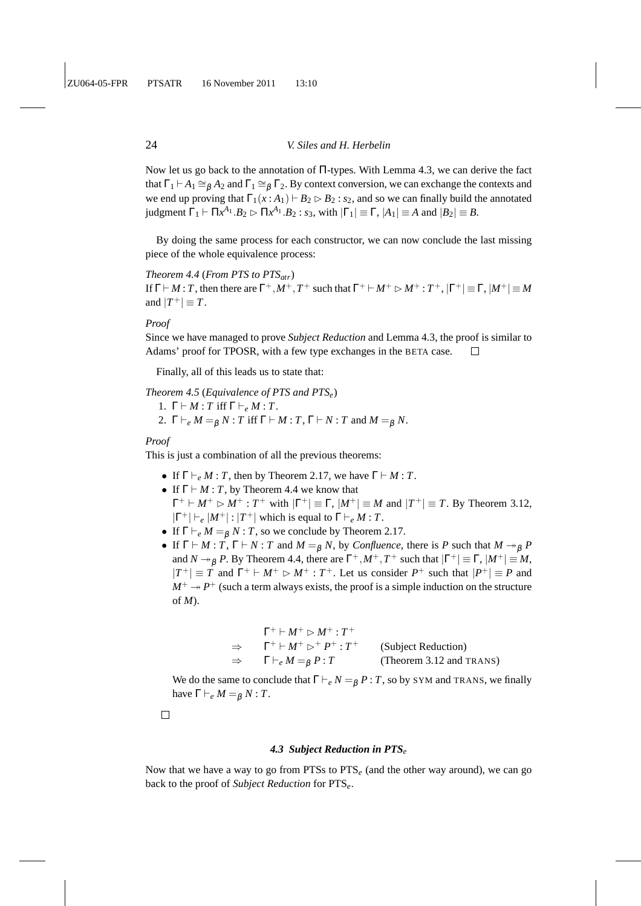Now let us go back to the annotation of Π-types. With Lemma 4.3, we can derive the fact that  $\Gamma_1 \vdash A_1 \cong_{\beta} A_2$  and  $\Gamma_1 \cong_{\beta} \Gamma_2$ . By context conversion, we can exchange the contexts and we end up proving that  $\Gamma_1(x : A_1) \vdash B_2 \triangleright B_2 : s_2$ , and so we can finally build the annotated judgment  $\Gamma_1 \vdash \Pi x^{A_1} . B_2 \rhd \Pi x^{A_1} . B_2 : s_3$ , with  $|\Gamma_1| \equiv \Gamma$ ,  $|A_1| \equiv A$  and  $|B_2| \equiv B$ .

By doing the same process for each constructor, we can now conclude the last missing piece of the whole equivalence process:

## *Theorem 4.4* (*From PTS to PTSatr*)

If  $\Gamma \vdash M : T$ , then there are  $\Gamma^+, M^+, T^+$  such that  $\Gamma^+ \vdash M^+ \rhd M^+ : T^+, |\Gamma^+| \equiv \Gamma, |M^+| \equiv M$ and  $|T^+| \equiv T$ .

## *Proof*

Since we have managed to prove *Subject Reduction* and Lemma 4.3, the proof is similar to Adams' proof for TPOSR, with a few type exchanges in the BETA case.  $\Box$ 

Finally, all of this leads us to state that:

## *Theorem 4.5* (*Equivalence of PTS and PTSe*) 1.  $\Gamma \vdash M : T$  iff  $\Gamma \vdash_e M : T$ .

2.  $\Gamma \vdash_e M = g N : T \text{ iff } \Gamma \vdash M : T, \Gamma \vdash N : T \text{ and } M = g N.$ 

## *Proof*

This is just a combination of all the previous theorems:

- If  $\Gamma \vdash_e M : T$ , then by Theorem 2.17, we have  $\Gamma \vdash M : T$ .
- If  $\Gamma \vdash M : T$ , by Theorem 4.4 we know that  $\Gamma^+ \vdash M^+ \rhd M^+ : T^+$  with  $|\Gamma^+| \equiv \Gamma$ ,  $|M^+| \equiv M$  and  $|T^+| \equiv T$ . By Theorem 3.12,  $|\Gamma^+| \vdash_e |M^+| : |T^+|$  which is equal to  $\Gamma \vdash_e M : T$ .
- If  $\Gamma \vdash_e M =_B N : T$ , so we conclude by Theorem 2.17.
- If  $\Gamma \vdash M : T$ ,  $\Gamma \vdash N : T$  and  $M =_B N$ , by *Confluence*, there is P such that  $M \rightarrow_B P$ and  $N \rightarrow_{\beta} P$ . By Theorem 4.4, there are  $\Gamma^+, M^+, T^+$  such that  $|\Gamma^+| \equiv \Gamma, |M^+| \equiv M$ ,  $|T^+| \equiv T$  and  $\Gamma^+ \vdash M^+ \rhd M^+ : T^+$ . Let us consider  $P^+$  such that  $|P^+| \equiv P$  and  $M^+ \rightarrow P^+$  (such a term always exists, the proof is a simple induction on the structure of *M*).

|               | $\Gamma^+ \vdash M^+ \rhd M^+ : T^+$        |                          |
|---------------|---------------------------------------------|--------------------------|
| $\Rightarrow$ | $\Gamma^+ \vdash M^+ \rhd^+ P^+ : T^+$      | (Subject Reduction)      |
|               | $\Rightarrow$ $\Gamma \vdash_e M = g P : T$ | (Theorem 3.12 and TRANS) |

We do the same to conclude that  $\Gamma \vdash_e N = g P : T$ , so by SYM and TRANS, we finally have  $\Gamma \vdash_e M = g N : T$ .

 $\Box$ 

### *4.3 Subject Reduction in PTS<sup>e</sup>*

Now that we have a way to go from PTSs to PTS*<sup>e</sup>* (and the other way around), we can go back to the proof of *Subject Reduction* for PTS*e*.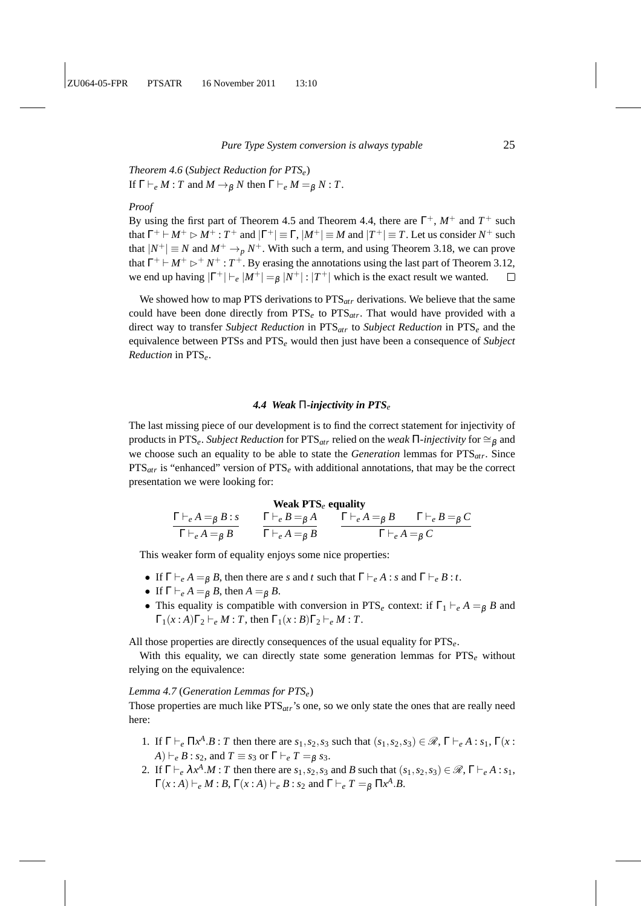*Theorem 4.6* (*Subject Reduction for PTSe*) If  $\Gamma \vdash_e M : T$  and  $M \to_B N$  then  $\Gamma \vdash_e M = g N : T$ .

#### *Proof*

By using the first part of Theorem 4.5 and Theorem 4.4, there are  $\Gamma^{+}$ ,  $M^{+}$  and  $T^{+}$  such that  $\Gamma^+ \vdash M^+ \rhd M^+ : T^+$  and  $|\Gamma^+| \equiv \Gamma$ ,  $|M^+| \equiv M$  and  $|T^+| \equiv T$ . Let us consider  $N^+$  such that  $|N^+| \equiv N$  and  $M^+ \rightarrow_p N^+$ . With such a term, and using Theorem 3.18, we can prove that  $\Gamma^+ \vdash M^+ \rhd^+ N^+ : T^+$ . By erasing the annotations using the last part of Theorem 3.12, we end up having  $|\Gamma^+| \vdash_e |M^+| =_\beta |N^+|$ :  $|T^+|$  which is the exact result we wanted.

We showed how to map PTS derivations to PTS*atr* derivations. We believe that the same could have been done directly from PTS*<sup>e</sup>* to PTS*atr*. That would have provided with a direct way to transfer *Subject Reduction* in PTS*atr* to *Subject Reduction* in PTS*<sup>e</sup>* and the equivalence between PTSs and PTS*<sup>e</sup>* would then just have been a consequence of *Subject Reduction* in PTS*e*.

## *4.4 Weak* Π*-injectivity in PTS<sup>e</sup>*

The last missing piece of our development is to find the correct statement for injectivity of products in PTS<sub>e</sub>. *Subject Reduction* for PTS<sub>*atr*</sub> relied on the *weak*  $\Pi$ -*injectivity* for  $\cong$ <sub>β</sub> and we choose such an equality to be able to state the *Generation* lemmas for PTS*atr*. Since PTS*atr* is "enhanced" version of PTS*<sup>e</sup>* with additional annotations, that may be the correct presentation we were looking for:

#### **Weak PTS***<sup>e</sup>* **equality**

$$
\frac{\Gamma\vdash_e A =_\beta B : s}{\Gamma\vdash_e A =_\beta B} \qquad \frac{\Gamma\vdash_e B =_\beta A}{\Gamma\vdash_e A =_\beta B} \qquad \frac{\Gamma\vdash_e A =_\beta B \qquad \Gamma\vdash_e B =_\beta C}{\Gamma\vdash_e A =_\beta C}
$$

This weaker form of equality enjoys some nice properties:

- If  $\Gamma \vdash_e A = g B$ , then there are *s* and *t* such that  $\Gamma \vdash_e A : s$  and  $\Gamma \vdash_e B : t$ .
- If  $\Gamma \vdash_e A =_B B$ , then  $A =_B B$ .
- This equality is compatible with conversion in PTS<sub>*e*</sub> context: if  $\Gamma_1 \vdash_e A = g B$  and  $\Gamma_1(x:A)\Gamma_2 \vdash_e M : T$ , then  $\Gamma_1(x:B)\Gamma_2 \vdash_e M : T$ .

All those properties are directly consequences of the usual equality for PTS*e*.

With this equality, we can directly state some generation lemmas for PTS<sub>e</sub> without relying on the equivalence:

## *Lemma 4.7* (*Generation Lemmas for PTSe*)

Those properties are much like PTS*atr*'s one, so we only state the ones that are really need here:

- 1. If  $\Gamma \vdash_e \Pi x^A \cdot B : T$  then there are  $s_1, s_2, s_3$  such that  $(s_1, s_2, s_3) \in \mathcal{R}, \Gamma \vdash_e A : s_1, \Gamma(x)$  $(A) \vdash_e B : s_2$ , and  $T \equiv s_3$  or  $\Gamma \vdash_e T =_\beta s_3$ .
- 2. If  $\Gamma \vdash_e \lambda x^A M$ : *T* then there are  $s_1, s_2, s_3$  and *B* such that  $(s_1, s_2, s_3) \in \mathcal{R}$ ,  $\Gamma \vdash_e A : s_1$ ,  $\Gamma(x:A) \vdash_e M:B, \Gamma(x:A) \vdash_e B : s_2 \text{ and } \Gamma \vdash_e T =_\beta \Pi x^A.B.$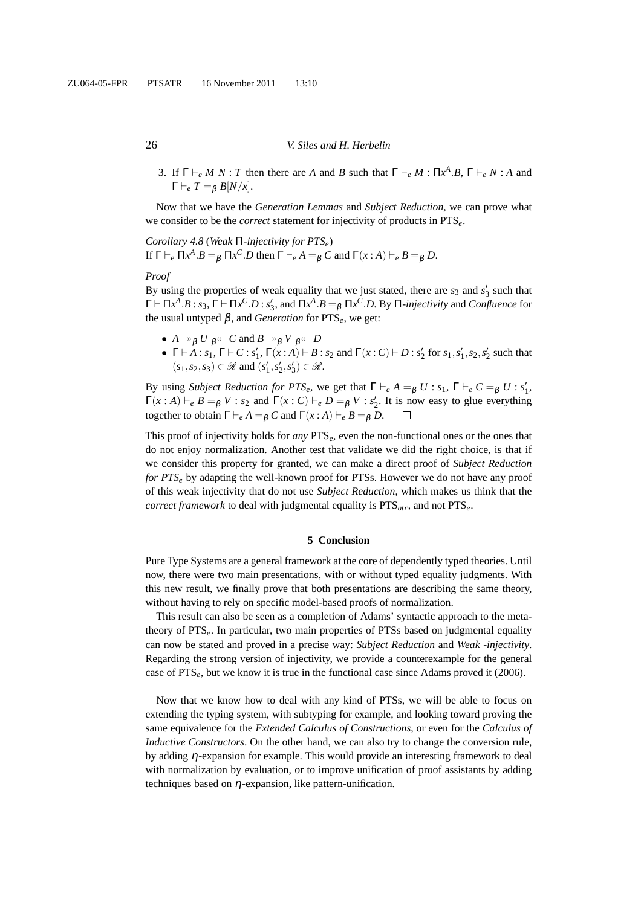3. If  $\Gamma \vdash_e M N$ : *T* then there are *A* and *B* such that  $\Gamma \vdash_e M$ :  $\Pi x^A.B, \Gamma \vdash_e N$ : *A* and  $\Gamma \vdash_e T =_B B[N/x].$ 

Now that we have the *Generation Lemmas* and *Subject Reduction*, we can prove what we consider to be the *correct* statement for injectivity of products in PTS*e*.

*Corollary 4.8* (*Weak* Π*-injectivity for PTSe*) If  $\Gamma \vdash_e \Pi x^A . B =_\beta \Pi x^C . D$  then  $\Gamma \vdash_e A =_\beta C$  and  $\Gamma(x : A) \vdash_e B =_\beta D$ .

#### *Proof*

By using the properties of weak equality that we just stated, there are  $s_3$  and  $s'_3$  such that  $Γ ⊢ Πx^A.B : s_3, Γ ⊢ Πx^C.D : s'_3$ , and  $Πx^A.B =_β Πx^C.D$ . By  $Π$ -*injectivity* and *Confluence* for the usual untyped  $β$ , and *Generation* for  $PTS<sub>e</sub>$ , we get:

- $A \rightarrow_B U \beta \leftarrow C$  and  $B \rightarrow_B V \beta \leftarrow D$
- $\Gamma \vdash A : s_1, \Gamma \vdash C : s'_1, \Gamma(x:A) \vdash B : s_2 \text{ and } \Gamma(x:C) \vdash D : s'_2 \text{ for } s_1, s'_1, s_2, s'_2 \text{ such that }$  $(s_1, s_2, s_3) \in \mathcal{R}$  and  $(s'_1, s'_2, s'_3) \in \mathcal{R}$ .

By using *Subject Reduction for PTS<sub>e</sub>*, we get that  $\Gamma \vdash_e A =_\beta U : s_1, \Gamma \vdash_e C =_\beta U : s'_1$ ,  $\Gamma(x : A) \vdash_e B =_\beta V : s_2$  and  $\Gamma(x : C) \vdash_e D =_\beta V : s'_2$ . It is now easy to glue everything together to obtain  $\Gamma \vdash_e A =_\beta C$  and  $\Gamma(x:A) \vdash_e B =_\beta D$ .

This proof of injectivity holds for *any* PTS*e*, even the non-functional ones or the ones that do not enjoy normalization. Another test that validate we did the right choice, is that if we consider this property for granted, we can make a direct proof of *Subject Reduction for PTS<sub>e</sub>* by adapting the well-known proof for PTSs. However we do not have any proof of this weak injectivity that do not use *Subject Reduction*, which makes us think that the *correct framework* to deal with judgmental equality is PTS*atr*, and not PTS*e*.

## **5 Conclusion**

Pure Type Systems are a general framework at the core of dependently typed theories. Until now, there were two main presentations, with or without typed equality judgments. With this new result, we finally prove that both presentations are describing the same theory, without having to rely on specific model-based proofs of normalization.

This result can also be seen as a completion of Adams' syntactic approach to the metatheory of PTS*e*. In particular, two main properties of PTSs based on judgmental equality can now be stated and proved in a precise way: *Subject Reduction* and *Weak -injectivity*. Regarding the strong version of injectivity, we provide a counterexample for the general case of PTS*e*, but we know it is true in the functional case since Adams proved it (2006).

Now that we know how to deal with any kind of PTSs, we will be able to focus on extending the typing system, with subtyping for example, and looking toward proving the same equivalence for the *Extended Calculus of Constructions*, or even for the *Calculus of Inductive Constructors*. On the other hand, we can also try to change the conversion rule, by adding η-expansion for example. This would provide an interesting framework to deal with normalization by evaluation, or to improve unification of proof assistants by adding techniques based on  $\eta$ -expansion, like pattern-unification.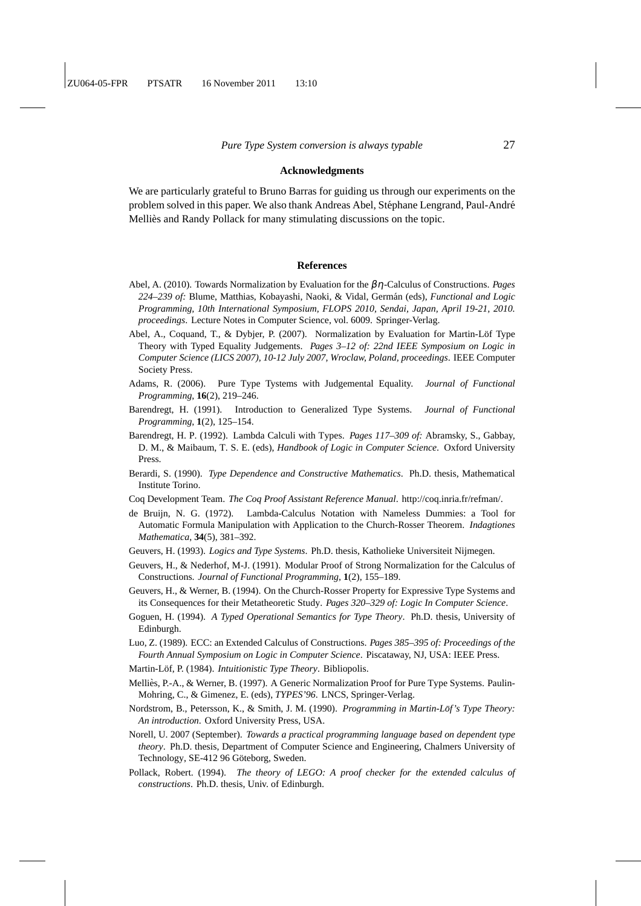#### **Acknowledgments**

We are particularly grateful to Bruno Barras for guiding us through our experiments on the problem solved in this paper. We also thank Andreas Abel, Stéphane Lengrand, Paul-André Mellies and Randy Pollack for many stimulating discussions on the topic.

#### **References**

- Abel, A. (2010). Towards Normalization by Evaluation for the βη-Calculus of Constructions. *Pages* 224–239 of: Blume, Matthias, Kobayashi, Naoki, & Vidal, Germán (eds), *Functional and Logic Programming, 10th International Symposium, FLOPS 2010, Sendai, Japan, April 19-21, 2010. proceedings*. Lecture Notes in Computer Science, vol. 6009. Springer-Verlag.
- Abel, A., Coquand, T., & Dybjer, P. (2007). Normalization by Evaluation for Martin-Löf Type Theory with Typed Equality Judgements. *Pages 3–12 of: 22nd IEEE Symposium on Logic in Computer Science (LICS 2007), 10-12 July 2007, Wroclaw, Poland, proceedings*. IEEE Computer Society Press.
- Adams, R. (2006). Pure Type Tystems with Judgemental Equality. *Journal of Functional Programming*, **16**(2), 219–246.
- Barendregt, H. (1991). Introduction to Generalized Type Systems. *Journal of Functional Programming*, **1**(2), 125–154.
- Barendregt, H. P. (1992). Lambda Calculi with Types. *Pages 117–309 of:* Abramsky, S., Gabbay, D. M., & Maibaum, T. S. E. (eds), *Handbook of Logic in Computer Science*. Oxford University Press.
- Berardi, S. (1990). *Type Dependence and Constructive Mathematics*. Ph.D. thesis, Mathematical Institute Torino.
- Coq Development Team. *The Coq Proof Assistant Reference Manual*. http://coq.inria.fr/refman/.
- de Bruijn, N. G. (1972). Lambda-Calculus Notation with Nameless Dummies: a Tool for Automatic Formula Manipulation with Application to the Church-Rosser Theorem. *Indagtiones Mathematica*, **34**(5), 381–392.
- Geuvers, H. (1993). *Logics and Type Systems*. Ph.D. thesis, Katholieke Universiteit Nijmegen.
- Geuvers, H., & Nederhof, M-J. (1991). Modular Proof of Strong Normalization for the Calculus of Constructions. *Journal of Functional Programming*, **1**(2), 155–189.
- Geuvers, H., & Werner, B. (1994). On the Church-Rosser Property for Expressive Type Systems and its Consequences for their Metatheoretic Study. *Pages 320–329 of: Logic In Computer Science*.
- Goguen, H. (1994). *A Typed Operational Semantics for Type Theory*. Ph.D. thesis, University of Edinburgh.
- Luo, Z. (1989). ECC: an Extended Calculus of Constructions. *Pages 385–395 of: Proceedings of the Fourth Annual Symposium on Logic in Computer Science*. Piscataway, NJ, USA: IEEE Press.
- Martin-Löf, P. (1984). *Intuitionistic Type Theory*. Bibliopolis.
- Melliès, P.-A., & Werner, B. (1997). A Generic Normalization Proof for Pure Type Systems. Paulin-Mohring, C., & Gimenez, E. (eds), *TYPES'96*. LNCS, Springer-Verlag.
- Nordstrom, B., Petersson, K., & Smith, J. M. (1990). *Programming in Martin-Lof's Type Theory: ¨ An introduction*. Oxford University Press, USA.
- Norell, U. 2007 (September). *Towards a practical programming language based on dependent type theory*. Ph.D. thesis, Department of Computer Science and Engineering, Chalmers University of Technology, SE-412 96 Göteborg, Sweden.
- Pollack, Robert. (1994). *The theory of LEGO: A proof checker for the extended calculus of constructions*. Ph.D. thesis, Univ. of Edinburgh.